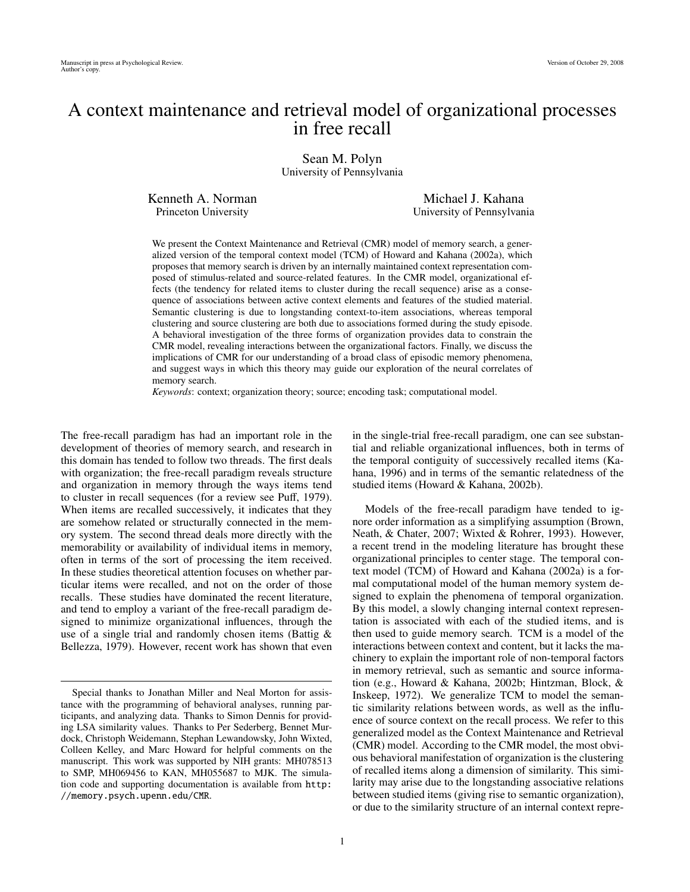# A context maintenance and retrieval model of organizational processes in free recall

Sean M. Polyn University of Pennsylvania

Kenneth A. Norman Princeton University

Michael J. Kahana University of Pennsylvania

We present the Context Maintenance and Retrieval (CMR) model of memory search, a generalized version of the temporal context model (TCM) of Howard and Kahana (2002a), which proposes that memory search is driven by an internally maintained context representation composed of stimulus-related and source-related features. In the CMR model, organizational effects (the tendency for related items to cluster during the recall sequence) arise as a consequence of associations between active context elements and features of the studied material. Semantic clustering is due to longstanding context-to-item associations, whereas temporal clustering and source clustering are both due to associations formed during the study episode. A behavioral investigation of the three forms of organization provides data to constrain the CMR model, revealing interactions between the organizational factors. Finally, we discuss the implications of CMR for our understanding of a broad class of episodic memory phenomena, and suggest ways in which this theory may guide our exploration of the neural correlates of memory search.

*Keywords*: context; organization theory; source; encoding task; computational model.

The free-recall paradigm has had an important role in the development of theories of memory search, and research in this domain has tended to follow two threads. The first deals with organization; the free-recall paradigm reveals structure and organization in memory through the ways items tend to cluster in recall sequences (for a review see Puff, 1979). When items are recalled successively, it indicates that they are somehow related or structurally connected in the memory system. The second thread deals more directly with the memorability or availability of individual items in memory, often in terms of the sort of processing the item received. In these studies theoretical attention focuses on whether particular items were recalled, and not on the order of those recalls. These studies have dominated the recent literature, and tend to employ a variant of the free-recall paradigm designed to minimize organizational influences, through the use of a single trial and randomly chosen items (Battig & Bellezza, 1979). However, recent work has shown that even in the single-trial free-recall paradigm, one can see substantial and reliable organizational influences, both in terms of the temporal contiguity of successively recalled items (Kahana, 1996) and in terms of the semantic relatedness of the studied items (Howard & Kahana, 2002b).

Models of the free-recall paradigm have tended to ignore order information as a simplifying assumption (Brown, Neath, & Chater, 2007; Wixted & Rohrer, 1993). However, a recent trend in the modeling literature has brought these organizational principles to center stage. The temporal context model (TCM) of Howard and Kahana (2002a) is a formal computational model of the human memory system designed to explain the phenomena of temporal organization. By this model, a slowly changing internal context representation is associated with each of the studied items, and is then used to guide memory search. TCM is a model of the interactions between context and content, but it lacks the machinery to explain the important role of non-temporal factors in memory retrieval, such as semantic and source information (e.g., Howard & Kahana, 2002b; Hintzman, Block, & Inskeep, 1972). We generalize TCM to model the semantic similarity relations between words, as well as the influence of source context on the recall process. We refer to this generalized model as the Context Maintenance and Retrieval (CMR) model. According to the CMR model, the most obvious behavioral manifestation of organization is the clustering of recalled items along a dimension of similarity. This similarity may arise due to the longstanding associative relations between studied items (giving rise to semantic organization), or due to the similarity structure of an internal context repre-

Special thanks to Jonathan Miller and Neal Morton for assistance with the programming of behavioral analyses, running participants, and analyzing data. Thanks to Simon Dennis for providing LSA similarity values. Thanks to Per Sederberg, Bennet Murdock, Christoph Weidemann, Stephan Lewandowsky, John Wixted, Colleen Kelley, and Marc Howard for helpful comments on the manuscript. This work was supported by NIH grants: MH078513 to SMP, MH069456 to KAN, MH055687 to MJK. The simulation code and supporting documentation is available from http: //memory.psych.upenn.edu/CMR.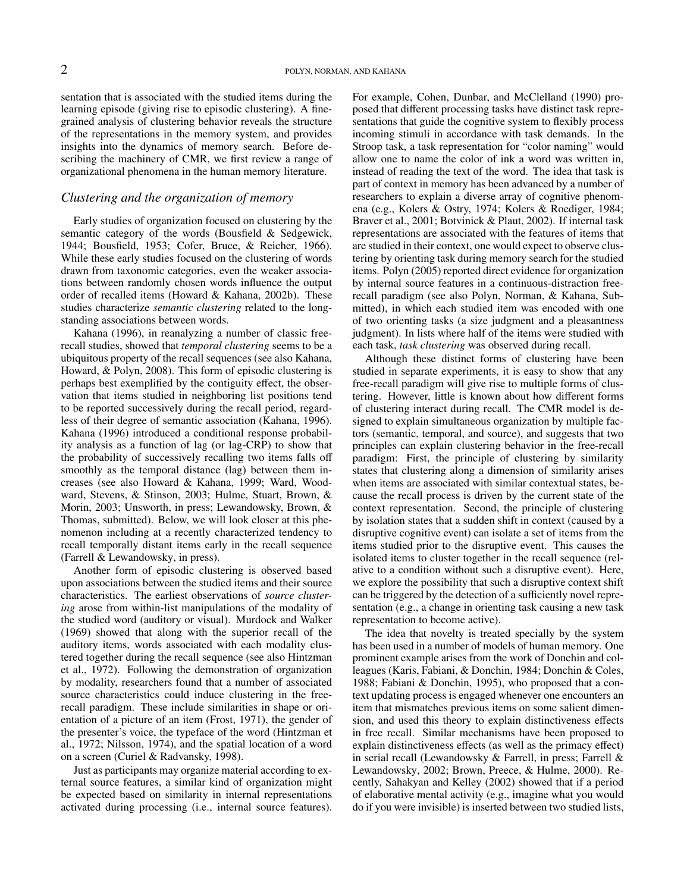sentation that is associated with the studied items during the learning episode (giving rise to episodic clustering). A finegrained analysis of clustering behavior reveals the structure of the representations in the memory system, and provides insights into the dynamics of memory search. Before describing the machinery of CMR, we first review a range of organizational phenomena in the human memory literature.

# *Clustering and the organization of memory*

Early studies of organization focused on clustering by the semantic category of the words (Bousfield & Sedgewick, 1944; Bousfield, 1953; Cofer, Bruce, & Reicher, 1966). While these early studies focused on the clustering of words drawn from taxonomic categories, even the weaker associations between randomly chosen words influence the output order of recalled items (Howard & Kahana, 2002b). These studies characterize *semantic clustering* related to the longstanding associations between words.

Kahana (1996), in reanalyzing a number of classic freerecall studies, showed that *temporal clustering* seems to be a ubiquitous property of the recall sequences (see also Kahana, Howard, & Polyn, 2008). This form of episodic clustering is perhaps best exemplified by the contiguity effect, the observation that items studied in neighboring list positions tend to be reported successively during the recall period, regardless of their degree of semantic association (Kahana, 1996). Kahana (1996) introduced a conditional response probability analysis as a function of lag (or lag-CRP) to show that the probability of successively recalling two items falls off smoothly as the temporal distance (lag) between them increases (see also Howard & Kahana, 1999; Ward, Woodward, Stevens, & Stinson, 2003; Hulme, Stuart, Brown, & Morin, 2003; Unsworth, in press; Lewandowsky, Brown, & Thomas, submitted). Below, we will look closer at this phenomenon including at a recently characterized tendency to recall temporally distant items early in the recall sequence (Farrell & Lewandowsky, in press).

Another form of episodic clustering is observed based upon associations between the studied items and their source characteristics. The earliest observations of *source clustering* arose from within-list manipulations of the modality of the studied word (auditory or visual). Murdock and Walker (1969) showed that along with the superior recall of the auditory items, words associated with each modality clustered together during the recall sequence (see also Hintzman et al., 1972). Following the demonstration of organization by modality, researchers found that a number of associated source characteristics could induce clustering in the freerecall paradigm. These include similarities in shape or orientation of a picture of an item (Frost, 1971), the gender of the presenter's voice, the typeface of the word (Hintzman et al., 1972; Nilsson, 1974), and the spatial location of a word on a screen (Curiel & Radvansky, 1998).

Just as participants may organize material according to external source features, a similar kind of organization might be expected based on similarity in internal representations activated during processing (i.e., internal source features).

For example, Cohen, Dunbar, and McClelland (1990) proposed that different processing tasks have distinct task representations that guide the cognitive system to flexibly process incoming stimuli in accordance with task demands. In the Stroop task, a task representation for "color naming" would allow one to name the color of ink a word was written in, instead of reading the text of the word. The idea that task is part of context in memory has been advanced by a number of researchers to explain a diverse array of cognitive phenomena (e.g., Kolers & Ostry, 1974; Kolers & Roediger, 1984; Braver et al., 2001; Botvinick & Plaut, 2002). If internal task representations are associated with the features of items that are studied in their context, one would expect to observe clustering by orienting task during memory search for the studied items. Polyn (2005) reported direct evidence for organization by internal source features in a continuous-distraction freerecall paradigm (see also Polyn, Norman, & Kahana, Submitted), in which each studied item was encoded with one of two orienting tasks (a size judgment and a pleasantness judgment). In lists where half of the items were studied with each task, *task clustering* was observed during recall.

Although these distinct forms of clustering have been studied in separate experiments, it is easy to show that any free-recall paradigm will give rise to multiple forms of clustering. However, little is known about how different forms of clustering interact during recall. The CMR model is designed to explain simultaneous organization by multiple factors (semantic, temporal, and source), and suggests that two principles can explain clustering behavior in the free-recall paradigm: First, the principle of clustering by similarity states that clustering along a dimension of similarity arises when items are associated with similar contextual states, because the recall process is driven by the current state of the context representation. Second, the principle of clustering by isolation states that a sudden shift in context (caused by a disruptive cognitive event) can isolate a set of items from the items studied prior to the disruptive event. This causes the isolated items to cluster together in the recall sequence (relative to a condition without such a disruptive event). Here, we explore the possibility that such a disruptive context shift can be triggered by the detection of a sufficiently novel representation (e.g., a change in orienting task causing a new task representation to become active).

The idea that novelty is treated specially by the system has been used in a number of models of human memory. One prominent example arises from the work of Donchin and colleagues (Karis, Fabiani, & Donchin, 1984; Donchin & Coles, 1988; Fabiani & Donchin, 1995), who proposed that a context updating process is engaged whenever one encounters an item that mismatches previous items on some salient dimension, and used this theory to explain distinctiveness effects in free recall. Similar mechanisms have been proposed to explain distinctiveness effects (as well as the primacy effect) in serial recall (Lewandowsky & Farrell, in press; Farrell & Lewandowsky, 2002; Brown, Preece, & Hulme, 2000). Recently, Sahakyan and Kelley (2002) showed that if a period of elaborative mental activity (e.g., imagine what you would do if you were invisible) is inserted between two studied lists,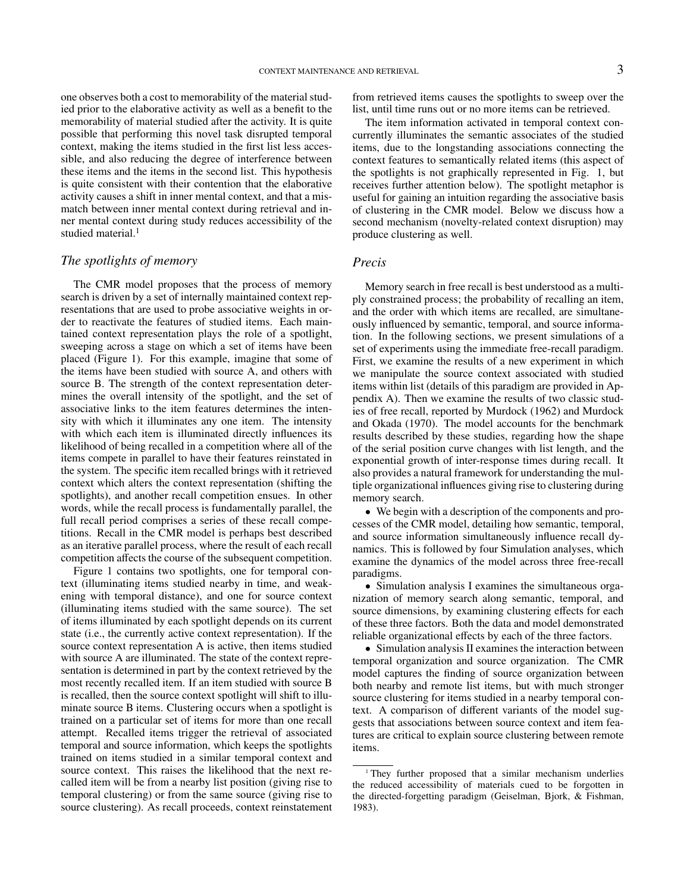one observes both a cost to memorability of the material studied prior to the elaborative activity as well as a benefit to the memorability of material studied after the activity. It is quite possible that performing this novel task disrupted temporal context, making the items studied in the first list less accessible, and also reducing the degree of interference between these items and the items in the second list. This hypothesis is quite consistent with their contention that the elaborative activity causes a shift in inner mental context, and that a mismatch between inner mental context during retrieval and inner mental context during study reduces accessibility of the studied material.<sup>1</sup>

# *The spotlights of memory*

The CMR model proposes that the process of memory search is driven by a set of internally maintained context representations that are used to probe associative weights in order to reactivate the features of studied items. Each maintained context representation plays the role of a spotlight, sweeping across a stage on which a set of items have been placed (Figure 1). For this example, imagine that some of the items have been studied with source A, and others with source B. The strength of the context representation determines the overall intensity of the spotlight, and the set of associative links to the item features determines the intensity with which it illuminates any one item. The intensity with which each item is illuminated directly influences its likelihood of being recalled in a competition where all of the items compete in parallel to have their features reinstated in the system. The specific item recalled brings with it retrieved context which alters the context representation (shifting the spotlights), and another recall competition ensues. In other words, while the recall process is fundamentally parallel, the full recall period comprises a series of these recall competitions. Recall in the CMR model is perhaps best described as an iterative parallel process, where the result of each recall competition affects the course of the subsequent competition.

Figure 1 contains two spotlights, one for temporal context (illuminating items studied nearby in time, and weakening with temporal distance), and one for source context (illuminating items studied with the same source). The set of items illuminated by each spotlight depends on its current state (i.e., the currently active context representation). If the source context representation A is active, then items studied with source A are illuminated. The state of the context representation is determined in part by the context retrieved by the most recently recalled item. If an item studied with source B is recalled, then the source context spotlight will shift to illuminate source B items. Clustering occurs when a spotlight is trained on a particular set of items for more than one recall attempt. Recalled items trigger the retrieval of associated temporal and source information, which keeps the spotlights trained on items studied in a similar temporal context and source context. This raises the likelihood that the next recalled item will be from a nearby list position (giving rise to temporal clustering) or from the same source (giving rise to source clustering). As recall proceeds, context reinstatement from retrieved items causes the spotlights to sweep over the list, until time runs out or no more items can be retrieved.

The item information activated in temporal context concurrently illuminates the semantic associates of the studied items, due to the longstanding associations connecting the context features to semantically related items (this aspect of the spotlights is not graphically represented in Fig. 1, but receives further attention below). The spotlight metaphor is useful for gaining an intuition regarding the associative basis of clustering in the CMR model. Below we discuss how a second mechanism (novelty-related context disruption) may produce clustering as well.

# *Precis*

Memory search in free recall is best understood as a multiply constrained process; the probability of recalling an item, and the order with which items are recalled, are simultaneously influenced by semantic, temporal, and source information. In the following sections, we present simulations of a set of experiments using the immediate free-recall paradigm. First, we examine the results of a new experiment in which we manipulate the source context associated with studied items within list (details of this paradigm are provided in Appendix A). Then we examine the results of two classic studies of free recall, reported by Murdock (1962) and Murdock and Okada (1970). The model accounts for the benchmark results described by these studies, regarding how the shape of the serial position curve changes with list length, and the exponential growth of inter-response times during recall. It also provides a natural framework for understanding the multiple organizational influences giving rise to clustering during memory search.

• We begin with a description of the components and processes of the CMR model, detailing how semantic, temporal, and source information simultaneously influence recall dynamics. This is followed by four Simulation analyses, which examine the dynamics of the model across three free-recall paradigms.

• Simulation analysis I examines the simultaneous organization of memory search along semantic, temporal, and source dimensions, by examining clustering effects for each of these three factors. Both the data and model demonstrated reliable organizational effects by each of the three factors.

• Simulation analysis II examines the interaction between temporal organization and source organization. The CMR model captures the finding of source organization between both nearby and remote list items, but with much stronger source clustering for items studied in a nearby temporal context. A comparison of different variants of the model suggests that associations between source context and item features are critical to explain source clustering between remote items.

<sup>1</sup> They further proposed that a similar mechanism underlies the reduced accessibility of materials cued to be forgotten in the directed-forgetting paradigm (Geiselman, Bjork, & Fishman, 1983).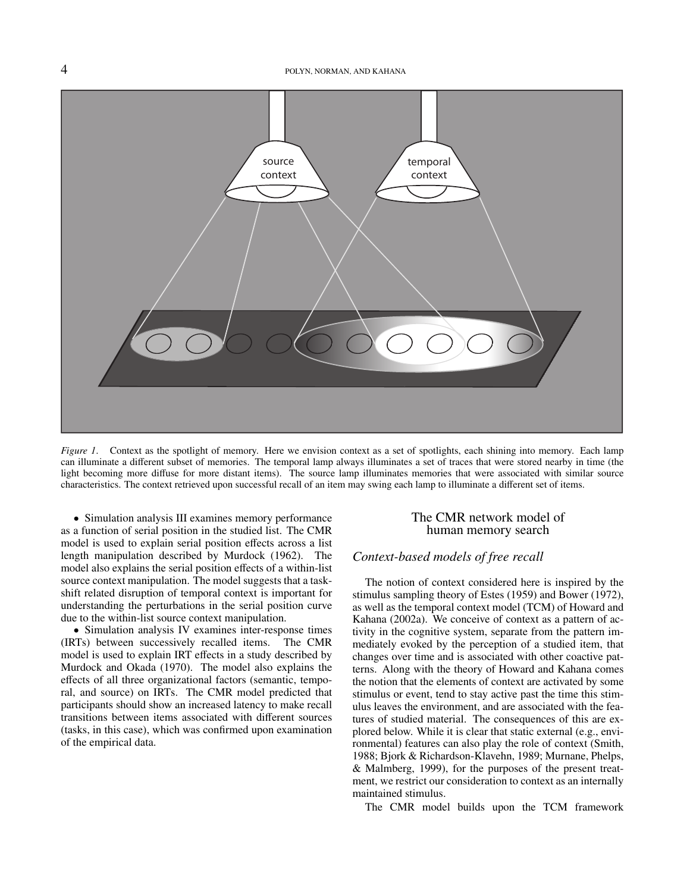

*Figure 1*. Context as the spotlight of memory. Here we envision context as a set of spotlights, each shining into memory. Each lamp can illuminate a different subset of memories. The temporal lamp always illuminates a set of traces that were stored nearby in time (the light becoming more diffuse for more distant items). The source lamp illuminates memories that were associated with similar source characteristics. The context retrieved upon successful recall of an item may swing each lamp to illuminate a different set of items.

• Simulation analysis III examines memory performance as a function of serial position in the studied list. The CMR model is used to explain serial position effects across a list length manipulation described by Murdock (1962). The model also explains the serial position effects of a within-list source context manipulation. The model suggests that a taskshift related disruption of temporal context is important for understanding the perturbations in the serial position curve due to the within-list source context manipulation.

• Simulation analysis IV examines inter-response times (IRTs) between successively recalled items. The CMR model is used to explain IRT effects in a study described by Murdock and Okada (1970). The model also explains the effects of all three organizational factors (semantic, temporal, and source) on IRTs. The CMR model predicted that participants should show an increased latency to make recall transitions between items associated with different sources (tasks, in this case), which was confirmed upon examination of the empirical data.

# The CMR network model of human memory search

# *Context-based models of free recall*

The notion of context considered here is inspired by the stimulus sampling theory of Estes (1959) and Bower (1972), as well as the temporal context model (TCM) of Howard and Kahana (2002a). We conceive of context as a pattern of activity in the cognitive system, separate from the pattern immediately evoked by the perception of a studied item, that changes over time and is associated with other coactive patterns. Along with the theory of Howard and Kahana comes the notion that the elements of context are activated by some stimulus or event, tend to stay active past the time this stimulus leaves the environment, and are associated with the features of studied material. The consequences of this are explored below. While it is clear that static external (e.g., environmental) features can also play the role of context (Smith, 1988; Bjork & Richardson-Klavehn, 1989; Murnane, Phelps, & Malmberg, 1999), for the purposes of the present treatment, we restrict our consideration to context as an internally maintained stimulus.

The CMR model builds upon the TCM framework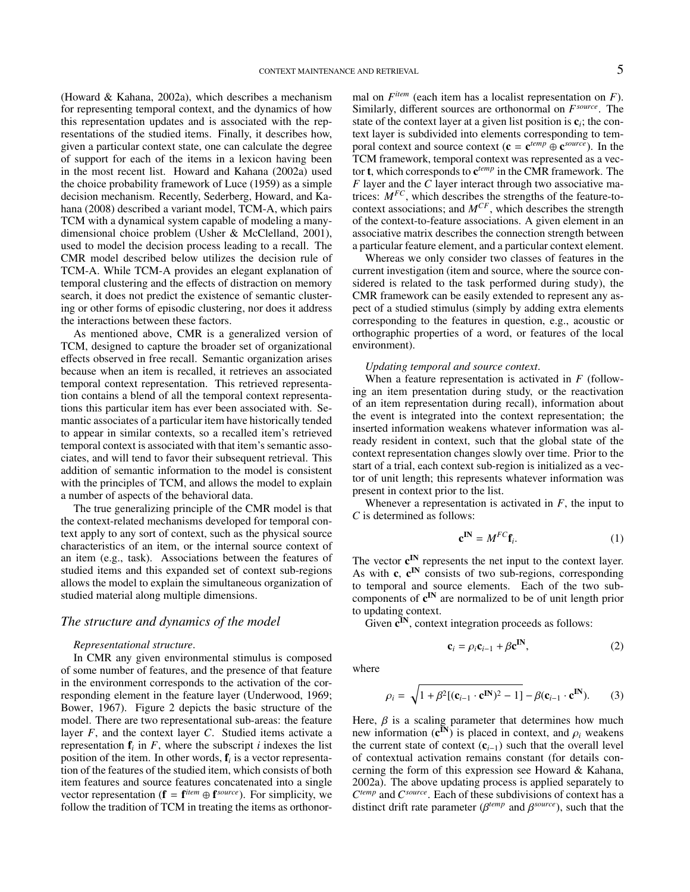(Howard & Kahana, 2002a), which describes a mechanism for representing temporal context, and the dynamics of how this representation updates and is associated with the representations of the studied items. Finally, it describes how, given a particular context state, one can calculate the degree of support for each of the items in a lexicon having been in the most recent list. Howard and Kahana (2002a) used the choice probability framework of Luce (1959) as a simple decision mechanism. Recently, Sederberg, Howard, and Kahana (2008) described a variant model, TCM-A, which pairs TCM with a dynamical system capable of modeling a manydimensional choice problem (Usher & McClelland, 2001), used to model the decision process leading to a recall. The CMR model described below utilizes the decision rule of TCM-A. While TCM-A provides an elegant explanation of temporal clustering and the effects of distraction on memory search, it does not predict the existence of semantic clustering or other forms of episodic clustering, nor does it address the interactions between these factors.

As mentioned above, CMR is a generalized version of TCM, designed to capture the broader set of organizational effects observed in free recall. Semantic organization arises because when an item is recalled, it retrieves an associated temporal context representation. This retrieved representation contains a blend of all the temporal context representations this particular item has ever been associated with. Semantic associates of a particular item have historically tended to appear in similar contexts, so a recalled item's retrieved temporal context is associated with that item's semantic associates, and will tend to favor their subsequent retrieval. This addition of semantic information to the model is consistent with the principles of TCM, and allows the model to explain a number of aspects of the behavioral data.

The true generalizing principle of the CMR model is that the context-related mechanisms developed for temporal context apply to any sort of context, such as the physical source characteristics of an item, or the internal source context of an item (e.g., task). Associations between the features of studied items and this expanded set of context sub-regions allows the model to explain the simultaneous organization of studied material along multiple dimensions.

#### *The structure and dynamics of the model*

#### *Representational structure*.

In CMR any given environmental stimulus is composed of some number of features, and the presence of that feature in the environment corresponds to the activation of the corresponding element in the feature layer (Underwood, 1969; Bower, 1967). Figure 2 depicts the basic structure of the model. There are two representational sub-areas: the feature layer *F*, and the context layer *C*. Studied items activate a representation  $f_i$  in  $F$ , where the subscript *i* indexes the list position of the item. In other words, f*<sup>i</sup>* is a vector representation of the features of the studied item, which consists of both item features and source features concatenated into a single vector representation ( $f = f^{item} \oplus f^{source}$ ). For simplicity, we follow the tradition of TCM in treating the items as orthonor-

mal on  $F^{item}$  (each item has a localist representation on *F*). Similarly, different sources are orthonormal on *F source*. The state of the context layer at a given list position is  $c_i$ ; the context layer is subdivided into elements corresponding to temporal context and source context ( $\mathbf{c} = \mathbf{c}^{temp} \oplus \mathbf{c}^{source}$ ). In the TCM framework, temporal context was represented as a vector t, which corresponds to c *temp* in the CMR framework. The *F* layer and the *C* layer interact through two associative matrices: *MFC*, which describes the strengths of the feature-tocontext associations; and *M<sup>CF</sup>*, which describes the strength of the context-to-feature associations. A given element in an associative matrix describes the connection strength between a particular feature element, and a particular context element.

Whereas we only consider two classes of features in the current investigation (item and source, where the source considered is related to the task performed during study), the CMR framework can be easily extended to represent any aspect of a studied stimulus (simply by adding extra elements corresponding to the features in question, e.g., acoustic or orthographic properties of a word, or features of the local environment).

# *Updating temporal and source context*.

When a feature representation is activated in *F* (following an item presentation during study, or the reactivation of an item representation during recall), information about the event is integrated into the context representation; the inserted information weakens whatever information was already resident in context, such that the global state of the context representation changes slowly over time. Prior to the start of a trial, each context sub-region is initialized as a vector of unit length; this represents whatever information was present in context prior to the list.

Whenever a representation is activated in  $F$ , the input to *C* is determined as follows:

$$
\mathbf{c}^{\mathbf{IN}} = M^{FC} \mathbf{f}_i. \tag{1}
$$

The vector  $\mathbf{c}^{\mathbf{IN}}$  represents the net input to the context layer. As with  $c$ ,  $c^{IN}$  consists of two sub-regions, corresponding to temporal and source elements. Each of the two subcomponents of  $c^{IN}$  are normalized to be of unit length prior to updating context.

Given  $c^{\text{IN}}$ , context integration proceeds as follows:

$$
\mathbf{c}_i = \rho_i \mathbf{c}_{i-1} + \beta \mathbf{c}^{\mathbf{IN}},
$$
 (2)

where

$$
\rho_i = \sqrt{1 + \beta^2 [(\mathbf{c}_{i-1} \cdot \mathbf{c}^{\mathbf{IN}})^2 - 1]} - \beta (\mathbf{c}_{i-1} \cdot \mathbf{c}^{\mathbf{IN}}).
$$
 (3)

Here,  $\beta$  is a scaling parameter that determines how much new information  $(e^{iN})$  is placed in context, and  $\rho_i$  weakens<br>the current state of context  $(e_{i-1})$  such that the overall level the current state of context (c*i*−1) such that the overall level of contextual activation remains constant (for details concerning the form of this expression see Howard & Kahana, 2002a). The above updating process is applied separately to *C temp* and *C source*. Each of these subdivisions of context has a distinct drift rate parameter (β *temp* and β *source*), such that the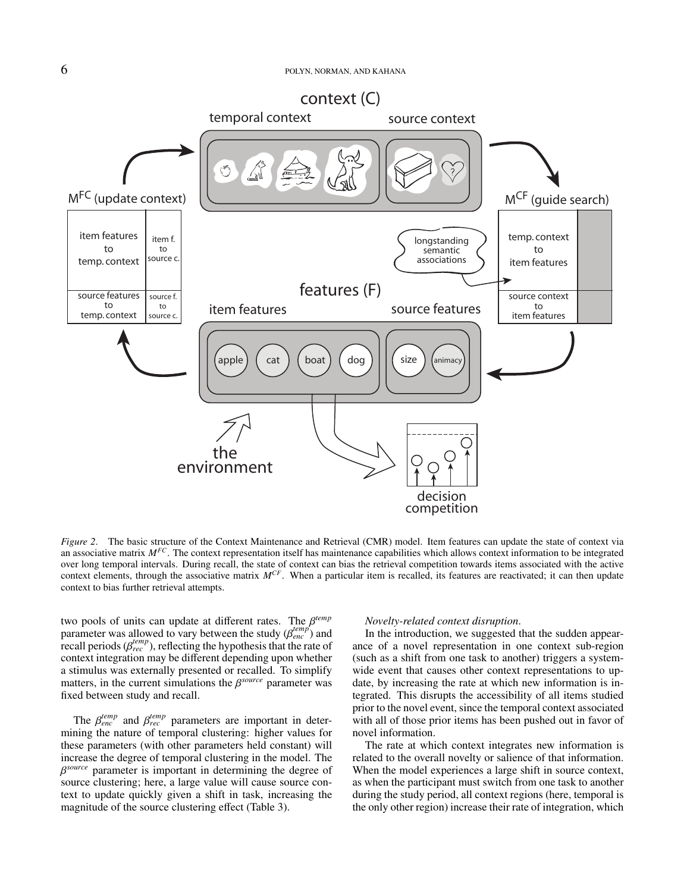

*Figure 2.* The basic structure of the Context Maintenance and Retrieval (CMR) model. Item features can update the state of context via an associative matrix *MFC*. The context representation itself has maintenance capabilities which allows context information to be integrated over long temporal intervals. During recall, the state of context can bias the retrieval competition towards items associated with the active context elements, through the associative matrix *MCF*. When a particular item is recalled, its features are reactivated; it can then update context to bias further retrieval attempts.

two pools of units can update at different rates. The  $\beta$ <br>parameter was allowed to vary between the study  $(\beta^{temp})$ two pools of units can update at different rates. The  $\beta^{temp}$ parameter was allowed to vary between the study  $(\beta_{enc}^{temp})$  and recall periods  $(\beta_{enc}^{temp})$  reflecting the hypothesis that the rate of **recall periods (** $β_{rec}^{temp}$ **), reflecting the hypothesis that the rate of context integration may be different depending upon whether** context integration may be different depending upon whether a stimulus was externally presented or recalled. To simplify matters, in the current simulations the  $\beta^{source}$  parameter was fixed between study and recall fixed between study and recall.

The  $\beta_{enc}^{temp}$  and  $\beta_{rec}^{temp}$  parameters are important in deter-<br>*ning the nature of temporal clustering*; higher values for mining the nature of temporal clustering: higher values for these parameters (with other parameters held constant) will increase the degree of temporal clustering in the model. The β source clustering; here, a large value will cause source con*source* parameter is important in determining the degree of text to update quickly given a shift in task, increasing the magnitude of the source clustering effect (Table 3).

#### *Novelty-related context disruption*.

In the introduction, we suggested that the sudden appearance of a novel representation in one context sub-region (such as a shift from one task to another) triggers a systemwide event that causes other context representations to update, by increasing the rate at which new information is integrated. This disrupts the accessibility of all items studied prior to the novel event, since the temporal context associated with all of those prior items has been pushed out in favor of novel information.

The rate at which context integrates new information is related to the overall novelty or salience of that information. When the model experiences a large shift in source context, as when the participant must switch from one task to another during the study period, all context regions (here, temporal is the only other region) increase their rate of integration, which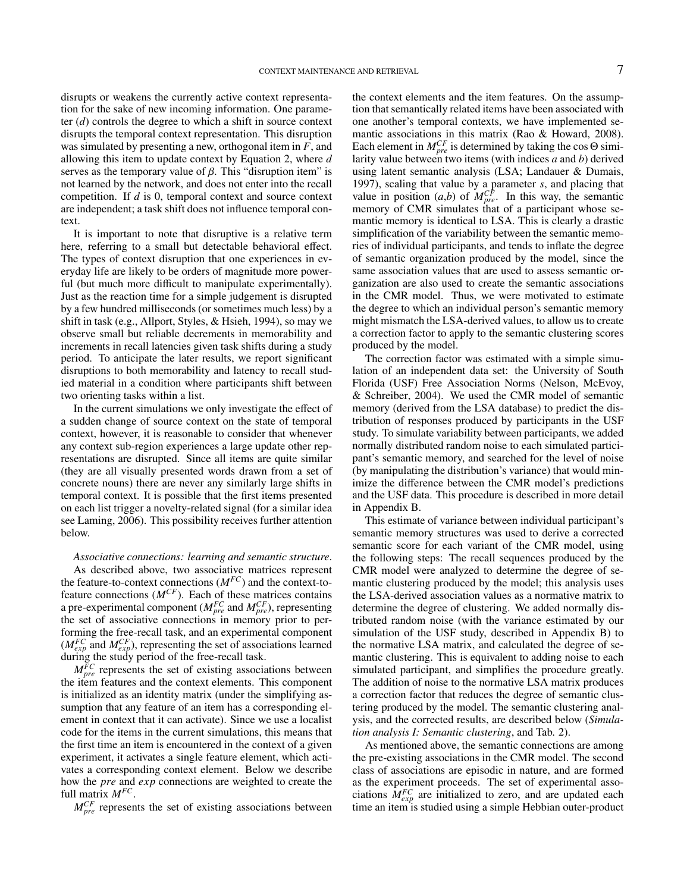disrupts or weakens the currently active context representation for the sake of new incoming information. One parameter (*d*) controls the degree to which a shift in source context disrupts the temporal context representation. This disruption was simulated by presenting a new, orthogonal item in *F*, and allowing this item to update context by Equation 2, where *d* serves as the temporary value of  $\beta$ . This "disruption item" is not learned by the network, and does not enter into the recall competition. If *d* is 0, temporal context and source context are independent; a task shift does not influence temporal context.

It is important to note that disruptive is a relative term here, referring to a small but detectable behavioral effect. The types of context disruption that one experiences in everyday life are likely to be orders of magnitude more powerful (but much more difficult to manipulate experimentally). Just as the reaction time for a simple judgement is disrupted by a few hundred milliseconds (or sometimes much less) by a shift in task (e.g., Allport, Styles, & Hsieh, 1994), so may we observe small but reliable decrements in memorability and increments in recall latencies given task shifts during a study period. To anticipate the later results, we report significant disruptions to both memorability and latency to recall studied material in a condition where participants shift between two orienting tasks within a list.

In the current simulations we only investigate the effect of a sudden change of source context on the state of temporal context, however, it is reasonable to consider that whenever any context sub-region experiences a large update other representations are disrupted. Since all items are quite similar (they are all visually presented words drawn from a set of concrete nouns) there are never any similarly large shifts in temporal context. It is possible that the first items presented on each list trigger a novelty-related signal (for a similar idea see Laming, 2006). This possibility receives further attention below.

*Associative connections: learning and semantic structure*.

As described above, two associative matrices represent the feature-to-context connections  $(M^{FC})$  and the context-tofeature connections  $(M^{CF})$ . Each of these matrices contains a pre-experimental component ( $M_{pre}^{FC}$  and  $M_{pre}^{CF}$ ), representing the set of associative connections in memory prior to performing the free-recall task, and an experimental component  $(M_{exp}^{FC})$  and  $M_{exp}^{CF}$ ), representing the set of associations learned during the study period of the free-recall task.

 $M_{pre}^{FC}$  represents the set of existing associations between the item features and the context elements. This component is initialized as an identity matrix (under the simplifying assumption that any feature of an item has a corresponding element in context that it can activate). Since we use a localist code for the items in the current simulations, this means that the first time an item is encountered in the context of a given experiment, it activates a single feature element, which activates a corresponding context element. Below we describe how the *pre* and *exp* connections are weighted to create the full matrix *MFC* .

 $M_{pre}^{CF}$  represents the set of existing associations between

the context elements and the item features. On the assumption that semantically related items have been associated with one another's temporal contexts, we have implemented semantic associations in this matrix (Rao & Howard, 2008). Each element in  $M_{pre}^{CF}$  is determined by taking the cos  $\Theta$  similarity value between two items (with indices *a* and *b*) derived using latent semantic analysis (LSA; Landauer & Dumais, 1997), scaling that value by a parameter *s*, and placing that value in position  $(a,b)$  of  $M_{pre}^{C\bar{F}}$ . In this way, the semantic memory of CMR simulates that of a participant whose semantic memory is identical to LSA. This is clearly a drastic simplification of the variability between the semantic memories of individual participants, and tends to inflate the degree of semantic organization produced by the model, since the same association values that are used to assess semantic organization are also used to create the semantic associations in the CMR model. Thus, we were motivated to estimate the degree to which an individual person's semantic memory might mismatch the LSA-derived values, to allow us to create a correction factor to apply to the semantic clustering scores produced by the model.

The correction factor was estimated with a simple simulation of an independent data set: the University of South Florida (USF) Free Association Norms (Nelson, McEvoy, & Schreiber, 2004). We used the CMR model of semantic memory (derived from the LSA database) to predict the distribution of responses produced by participants in the USF study. To simulate variability between participants, we added normally distributed random noise to each simulated participant's semantic memory, and searched for the level of noise (by manipulating the distribution's variance) that would minimize the difference between the CMR model's predictions and the USF data. This procedure is described in more detail in Appendix B.

This estimate of variance between individual participant's semantic memory structures was used to derive a corrected semantic score for each variant of the CMR model, using the following steps: The recall sequences produced by the CMR model were analyzed to determine the degree of semantic clustering produced by the model; this analysis uses the LSA-derived association values as a normative matrix to determine the degree of clustering. We added normally distributed random noise (with the variance estimated by our simulation of the USF study, described in Appendix B) to the normative LSA matrix, and calculated the degree of semantic clustering. This is equivalent to adding noise to each simulated participant, and simplifies the procedure greatly. The addition of noise to the normative LSA matrix produces a correction factor that reduces the degree of semantic clustering produced by the model. The semantic clustering analysis, and the corrected results, are described below (*Simulation analysis I: Semantic clustering*, and Tab. 2).

As mentioned above, the semantic connections are among the pre-existing associations in the CMR model. The second class of associations are episodic in nature, and are formed as the experiment proceeds. The set of experimental associations  $M_{exp}^{FC}$  are initialized to zero, and are updated each time an item is studied using a simple Hebbian outer-product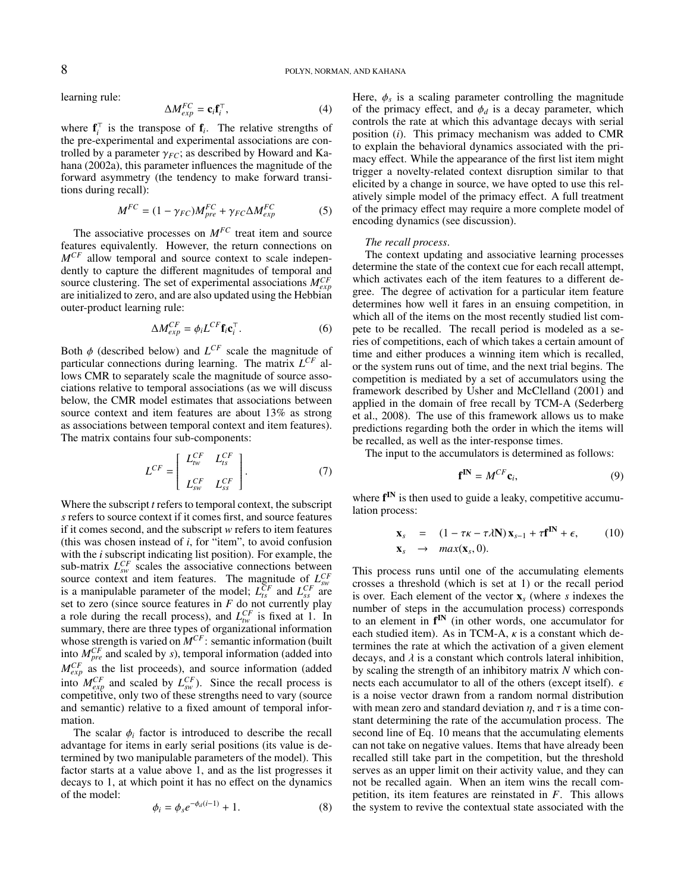learning rule:

$$
\Delta M_{exp}^{FC} = \mathbf{c}_i \mathbf{f}_i^{\top},\tag{4}
$$

where  $f_i^{\dagger}$  is the transpose of  $f_i$ . The relative strengths of the pre-experimental and experimental associations are controlled by a parameter  $\gamma_{FC}$ ; as described by Howard and Kahana (2002a), this parameter influences the magnitude of the forward asymmetry (the tendency to make forward transitions during recall):

$$
M^{FC} = (1 - \gamma_{FC})M_{pre}^{FC} + \gamma_{FC} \Delta M_{exp}^{FC}
$$
 (5)

The associative processes on  $M^{FC}$  treat item and source features equivalently. However, the return connections on  $M^{CF}$  allow temporal and source context to scale independently to capture the different magnitudes of temporal and source clustering. The set of experimental associations *MCF exp* are initialized to zero, and are also updated using the Hebbian outer-product learning rule:

$$
\Delta M_{exp}^{CF} = \phi_i L^{CF} \mathbf{f}_i \mathbf{c}_i^{\top}.
$$
 (6)

Both  $\phi$  (described below) and  $L^{CF}$  scale the magnitude of particular connections during learning. The matrix  $L^{CF}$  alparticular connections during learning. The matrix *L CF* allows CMR to separately scale the magnitude of source associations relative to temporal associations (as we will discuss below, the CMR model estimates that associations between source context and item features are about 13% as strong as associations between temporal context and item features). The matrix contains four sub-components:

$$
L^{CF} = \left[ \begin{array}{cc} L_{tw}^{CF} & L_{ts}^{CF} \\ L_{sw}^{CF} & L_{ss}^{CF} \end{array} \right].
$$
 (7)

Where the subscript *t* refers to temporal context, the subscript *s* refers to source context if it comes first, and source features if it comes second, and the subscript *w* refers to item features (this was chosen instead of *i*, for "item", to avoid confusion with the *i* subscript indicating list position). For example, the sub-matrix  $L_{sw}^{CF}$  scales the associative connections between source context and item features. The magnitude of  $L_{sw}^{CF}$ <br>is a manipulable parameter of the model;  $L_{ts}^{CF}$  and  $L_{ss}^{CF}$  are set to zero (since source features in *F* do not currently play a role during the recall process), and  $L_{tw}^{CF}$  is fixed at 1. In summary, there are three types of organizational information whose strength is varied on  $M^{CF}$ : semantic information (built into  $M_{pre}^{CF}$  and scaled by *s*), temporal information (added into  $M_{exp}^{CF}$  as the list proceeds), and source information (added into  $M_{exp}^{CF}$  and scaled by  $L_{sw}^{CF}$ ). Since the recall process is competitive, only two of these strengths need to vary (source and semantic) relative to a fixed amount of temporal information.

The scalar  $\phi_i$  factor is introduced to describe the recall advantage for items in early serial positions (its value is determined by two manipulable parameters of the model). This factor starts at a value above 1, and as the list progresses it decays to 1, at which point it has no effect on the dynamics of the model:

$$
\phi_i = \phi_s e^{-\phi_d(i-1)} + 1.
$$
 (8)

Here,  $\phi_s$  is a scaling parameter controlling the magnitude of the primacy effect and  $\phi_d$  is a decay parameter which of the primacy effect, and  $\phi_d$  is a decay parameter, which controls the rate at which this advantage decays with serial position (*i*). This primacy mechanism was added to CMR to explain the behavioral dynamics associated with the primacy effect. While the appearance of the first list item might trigger a novelty-related context disruption similar to that elicited by a change in source, we have opted to use this relatively simple model of the primacy effect. A full treatment of the primacy effect may require a more complete model of encoding dynamics (see discussion).

#### *The recall process*.

The context updating and associative learning processes determine the state of the context cue for each recall attempt, which activates each of the item features to a different degree. The degree of activation for a particular item feature determines how well it fares in an ensuing competition, in which all of the items on the most recently studied list compete to be recalled. The recall period is modeled as a series of competitions, each of which takes a certain amount of time and either produces a winning item which is recalled, or the system runs out of time, and the next trial begins. The competition is mediated by a set of accumulators using the framework described by Usher and McClelland (2001) and applied in the domain of free recall by TCM-A (Sederberg et al., 2008). The use of this framework allows us to make predictions regarding both the order in which the items will be recalled, as well as the inter-response times.

The input to the accumulators is determined as follows:

$$
\mathbf{f}^{\mathbf{IN}} = M^{CF} \mathbf{c}_i,\tag{9}
$$

where  $f^{\text{IN}}$  is then used to guide a leaky, competitive accumulation process:

$$
\mathbf{x}_{s} = (1 - \tau \kappa - \tau \lambda \mathbf{N}) \mathbf{x}_{s-1} + \tau \mathbf{f}^{\mathbf{IN}} + \epsilon, \qquad (10)
$$
  

$$
\mathbf{x}_{s} \rightarrow \max(\mathbf{x}_{s}, 0).
$$

This process runs until one of the accumulating elements crosses a threshold (which is set at 1) or the recall period is over. Each element of the vector x*<sup>s</sup>* (where *s* indexes the number of steps in the accumulation process) corresponds to an element in  $f^{\text{IN}}$  (in other words, one accumulator for each studied item). As in TCM-A,  $\kappa$  is a constant which determines the rate at which the activation of a given element decays, and  $\lambda$  is a constant which controls lateral inhibition, by scaling the strength of an inhibitory matrix *N* which connects each accumulator to all of the others (except itself).  $\epsilon$ is a noise vector drawn from a random normal distribution with mean zero and standard deviation  $\eta$ , and  $\tau$  is a time constant determining the rate of the accumulation process. The second line of Eq. 10 means that the accumulating elements can not take on negative values. Items that have already been recalled still take part in the competition, but the threshold serves as an upper limit on their activity value, and they can not be recalled again. When an item wins the recall competition, its item features are reinstated in *F*. This allows the system to revive the contextual state associated with the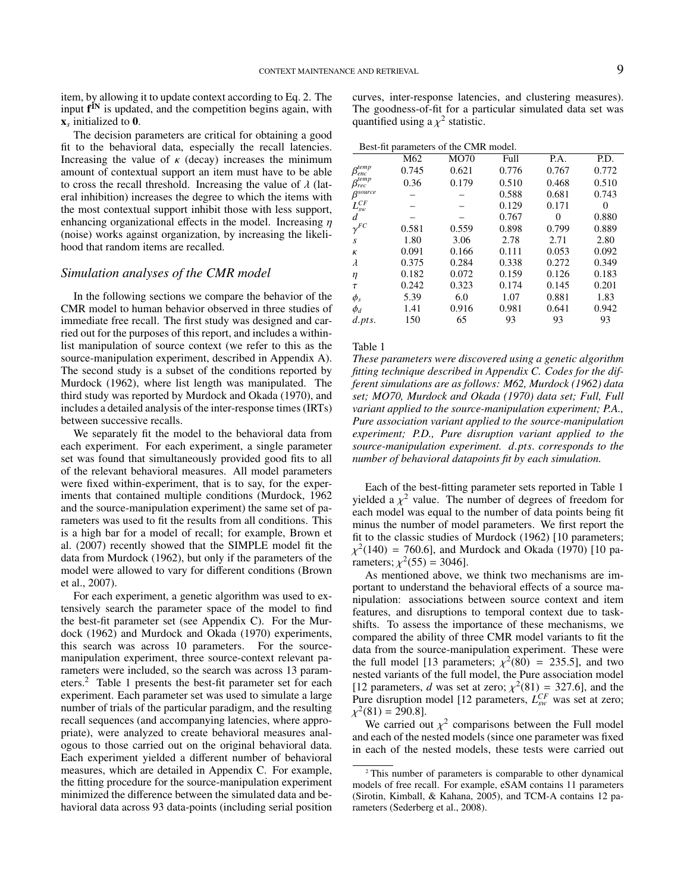input f<sup>IN</sup> is updated, and the competition begins again, with x*s* initialized to 0. The decision parameters are critical for obtaining a good fit to the behavioral data, especially the recall latencies.

Increasing the value of  $\kappa$  (decay) increases the minimum amount of contextual support an item must have to be able to cross the recall threshold. Increasing the value of  $\lambda$  (lateral inhibition) increases the degree to which the items with the most contextual support inhibit those with less support, enhancing organizational effects in the model. Increasing  $\eta$ (noise) works against organization, by increasing the likelihood that random items are recalled.

### *Simulation analyses of the CMR model*

In the following sections we compare the behavior of the CMR model to human behavior observed in three studies of immediate free recall. The first study was designed and carried out for the purposes of this report, and includes a withinlist manipulation of source context (we refer to this as the source-manipulation experiment, described in Appendix A). The second study is a subset of the conditions reported by Murdock (1962), where list length was manipulated. The third study was reported by Murdock and Okada (1970), and includes a detailed analysis of the inter-response times (IRTs) between successive recalls.

We separately fit the model to the behavioral data from each experiment. For each experiment, a single parameter set was found that simultaneously provided good fits to all of the relevant behavioral measures. All model parameters were fixed within-experiment, that is to say, for the experiments that contained multiple conditions (Murdock, 1962 and the source-manipulation experiment) the same set of parameters was used to fit the results from all conditions. This is a high bar for a model of recall; for example, Brown et al. (2007) recently showed that the SIMPLE model fit the data from Murdock (1962), but only if the parameters of the model were allowed to vary for different conditions (Brown et al., 2007).

For each experiment, a genetic algorithm was used to extensively search the parameter space of the model to find the best-fit parameter set (see Appendix C). For the Murdock (1962) and Murdock and Okada (1970) experiments, this search was across 10 parameters. For the sourcemanipulation experiment, three source-context relevant parameters were included, so the search was across 13 parameters.<sup>2</sup> Table 1 presents the best-fit parameter set for each experiment. Each parameter set was used to simulate a large number of trials of the particular paradigm, and the resulting recall sequences (and accompanying latencies, where appropriate), were analyzed to create behavioral measures analogous to those carried out on the original behavioral data. Each experiment yielded a different number of behavioral measures, which are detailed in Appendix C. For example, the fitting procedure for the source-manipulation experiment minimized the difference between the simulated data and behavioral data across 93 data-points (including serial position curves, inter-response latencies, and clustering measures). The goodness-of-fit for a particular simulated data set was quantified using a  $\chi^2$  statistic.

| Best-fit parameters of the CMR model. |  |  |
|---------------------------------------|--|--|
|                                       |  |  |

|                               | M62   | MO70  | Full  | P.A.     | P.D.     |
|-------------------------------|-------|-------|-------|----------|----------|
| $\beta_{enc}^{temp}$          | 0.745 | 0.621 | 0.776 | 0.767    | 0.772    |
| $\beta_{rec}^{temp}$          | 0.36  | 0.179 | 0.510 | 0.468    | 0.510    |
| $\beta^{source}$              |       |       | 0.588 | 0.681    | 0.743    |
| $L_{\mathrm sw}^{CF}$         |       |       | 0.129 | 0.171    | $\Omega$ |
| d                             |       |       | 0.767 | $\Omega$ | 0.880    |
| $\gamma^{FC}$                 | 0.581 | 0.559 | 0.898 | 0.799    | 0.889    |
| S                             | 1.80  | 3.06  | 2.78  | 2.71     | 2.80     |
| ĸ                             | 0.091 | 0.166 | 0.111 | 0.053    | 0.092    |
| λ                             | 0.375 | 0.284 | 0.338 | 0.272    | 0.349    |
| η                             | 0.182 | 0.072 | 0.159 | 0.126    | 0.183    |
| τ                             | 0.242 | 0.323 | 0.174 | 0.145    | 0.201    |
| $\phi_{\scriptscriptstyle S}$ | 5.39  | 6.0   | 1.07  | 0.881    | 1.83     |
| $\phi_d$                      | 1.41  | 0.916 | 0.981 | 0.641    | 0.942    |
| d. pts.                       | 150   | 65    | 93    | 93       | 93       |
|                               |       |       |       |          |          |

#### Table 1

*These parameters were discovered using a genetic algorithm fitting technique described in Appendix C. Codes for the different simulations are as follows: M62, Murdock (1962) data set; MO70, Murdock and Okada (1970) data set; Full, Full variant applied to the source-manipulation experiment; P.A., Pure association variant applied to the source-manipulation experiment; P.D., Pure disruption variant applied to the source-manipulation experiment. d*.*pts*. *corresponds to the number of behavioral datapoints fit by each simulation.*

Each of the best-fitting parameter sets reported in Table 1 yielded a  $\chi^2$  value. The number of degrees of freedom for each model was equal to the number of data points being fit each model was equal to the number of data points being fit minus the number of model parameters. We first report the fit to the classic studies of Murdock (1962) [10 parameters; rameters;  $\chi^2$ (55) = 3046].<br>As mentioned above  $^{2}(140) = 760.6$ ], and Murdock and Okada (1970) [10 pa-<br>ameters:  $v^{2}(55) = 3046$ ]

As mentioned above, we think two mechanisms are important to understand the behavioral effects of a source manipulation: associations between source context and item features, and disruptions to temporal context due to taskshifts. To assess the importance of these mechanisms, we compared the ability of three CMR model variants to fit the data from the source-manipulation experiment. These were the full model [13 parameters;  $\chi^2(80) = 235.5$ ], and two nested variants of the full model the Pure association model nested variants of the full model, the Pure association model [12 parameters, *d* was set at zero;  $\chi^2(81) = 327.6$ ], and the Pure disruption model [12 parameters,  $L_{sw}^{CF}$  was set at zero; [12 parameters, d was set at zero;  $\chi^2(81) = 327.6$ ], and the  $^{2}(81) = 290.8$ .<br>We carried ou

 $\ddot{\phantom{0}}$ We carried out  $\chi^2$  comparisons between the Full model<br>deach of the nested models (since one parameter was fixed and each of the nested models (since one parameter was fixed in each of the nested models, these tests were carried out

<sup>&</sup>lt;sup>2</sup> This number of parameters is comparable to other dynamical models of free recall. For example, eSAM contains 11 parameters (Sirotin, Kimball, & Kahana, 2005), and TCM-A contains 12 parameters (Sederberg et al., 2008).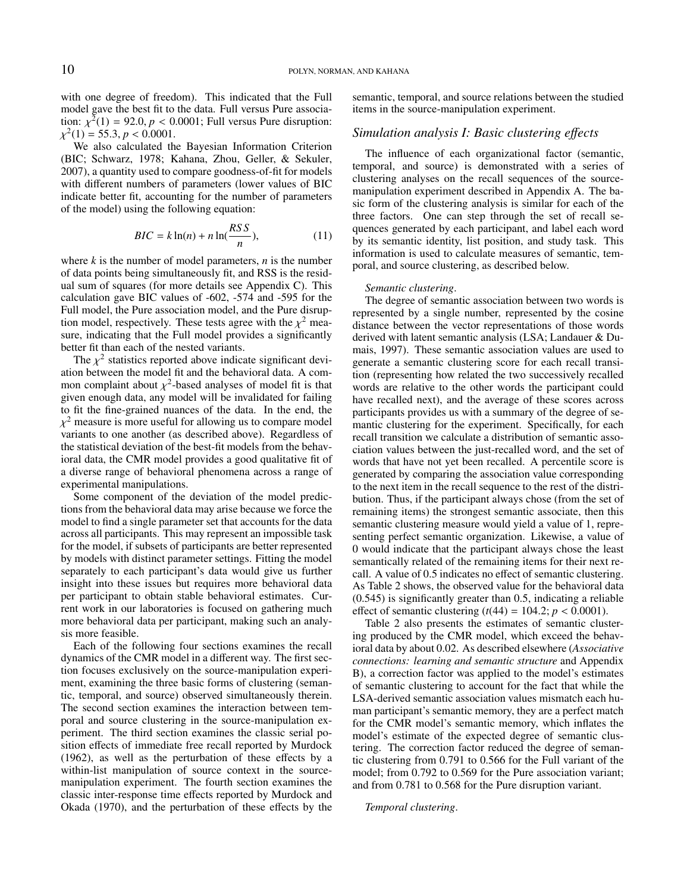with one degree of freedom). This indicated that the Full model gave the best fit to the data. Full versus Pure association:  $\chi^2(1) = 92.0, p < 0.0001$ ; Full versus Pure disruption:<br> $\chi^2(1) = 55.3, p < 0.0001$  $f^2(1) = 55.3, p < 0.0001.$ <br>We also calculated the

 $\ddot{\phantom{0}}$ We also calculated the Bayesian Information Criterion (BIC; Schwarz, 1978; Kahana, Zhou, Geller, & Sekuler, 2007), a quantity used to compare goodness-of-fit for models with different numbers of parameters (lower values of BIC indicate better fit, accounting for the number of parameters of the model) using the following equation:

$$
BIC = k \ln(n) + n \ln(\frac{RSS}{n}),
$$
\n(11)

where *k* is the number of model parameters, *n* is the number of data points being simultaneously fit, and RSS is the residual sum of squares (for more details see Appendix C). This calculation gave BIC values of -602, -574 and -595 for the Full model, the Pure association model, and the Pure disruption model, respectively. These tests agree with the  $\chi^2$  mea-<br>sure, indicating that the Full model provides a significantly sure, indicating that the Full model provides a significantly better fit than each of the nested variants.

The  $\chi^2$  statistics reported above indicate significant devi-<br>on between the model fit and the behavioral data. A comation between the model fit and the behavioral data. A common complaint about  $\chi^2$ -based analyses of model fit is that given enough data any model will be invalidated for failing given enough data, any model will be invalidated for failing to fit the fine-grained nuances of the data. In the end, the χ variants to one another (as described above). Regardless of  $\chi^2$  measure is more useful for allowing us to compare model the statistical deviation of the best-fit models from the behavioral data, the CMR model provides a good qualitative fit of a diverse range of behavioral phenomena across a range of experimental manipulations.

Some component of the deviation of the model predictions from the behavioral data may arise because we force the model to find a single parameter set that accounts for the data across all participants. This may represent an impossible task for the model, if subsets of participants are better represented by models with distinct parameter settings. Fitting the model separately to each participant's data would give us further insight into these issues but requires more behavioral data per participant to obtain stable behavioral estimates. Current work in our laboratories is focused on gathering much more behavioral data per participant, making such an analysis more feasible.

Each of the following four sections examines the recall dynamics of the CMR model in a different way. The first section focuses exclusively on the source-manipulation experiment, examining the three basic forms of clustering (semantic, temporal, and source) observed simultaneously therein. The second section examines the interaction between temporal and source clustering in the source-manipulation experiment. The third section examines the classic serial position effects of immediate free recall reported by Murdock (1962), as well as the perturbation of these effects by a within-list manipulation of source context in the sourcemanipulation experiment. The fourth section examines the classic inter-response time effects reported by Murdock and Okada (1970), and the perturbation of these effects by the semantic, temporal, and source relations between the studied items in the source-manipulation experiment.

#### *Simulation analysis I: Basic clustering e*ff*ects*

The influence of each organizational factor (semantic, temporal, and source) is demonstrated with a series of clustering analyses on the recall sequences of the sourcemanipulation experiment described in Appendix A. The basic form of the clustering analysis is similar for each of the three factors. One can step through the set of recall sequences generated by each participant, and label each word by its semantic identity, list position, and study task. This information is used to calculate measures of semantic, temporal, and source clustering, as described below.

#### *Semantic clustering*.

The degree of semantic association between two words is represented by a single number, represented by the cosine distance between the vector representations of those words derived with latent semantic analysis (LSA; Landauer & Dumais, 1997). These semantic association values are used to generate a semantic clustering score for each recall transition (representing how related the two successively recalled words are relative to the other words the participant could have recalled next), and the average of these scores across participants provides us with a summary of the degree of semantic clustering for the experiment. Specifically, for each recall transition we calculate a distribution of semantic association values between the just-recalled word, and the set of words that have not yet been recalled. A percentile score is generated by comparing the association value corresponding to the next item in the recall sequence to the rest of the distribution. Thus, if the participant always chose (from the set of remaining items) the strongest semantic associate, then this semantic clustering measure would yield a value of 1, representing perfect semantic organization. Likewise, a value of 0 would indicate that the participant always chose the least semantically related of the remaining items for their next recall. A value of 0.5 indicates no effect of semantic clustering. As Table 2 shows, the observed value for the behavioral data (0.545) is significantly greater than 0.5, indicating a reliable effect of semantic clustering  $(t(44) = 104.2; p < 0.0001)$ .

Table 2 also presents the estimates of semantic clustering produced by the CMR model, which exceed the behavioral data by about 0.02. As described elsewhere (*Associative connections: learning and semantic structure* and Appendix B), a correction factor was applied to the model's estimates of semantic clustering to account for the fact that while the LSA-derived semantic association values mismatch each human participant's semantic memory, they are a perfect match for the CMR model's semantic memory, which inflates the model's estimate of the expected degree of semantic clustering. The correction factor reduced the degree of semantic clustering from 0.791 to 0.566 for the Full variant of the model; from 0.792 to 0.569 for the Pure association variant; and from 0.781 to 0.568 for the Pure disruption variant.

*Temporal clustering*.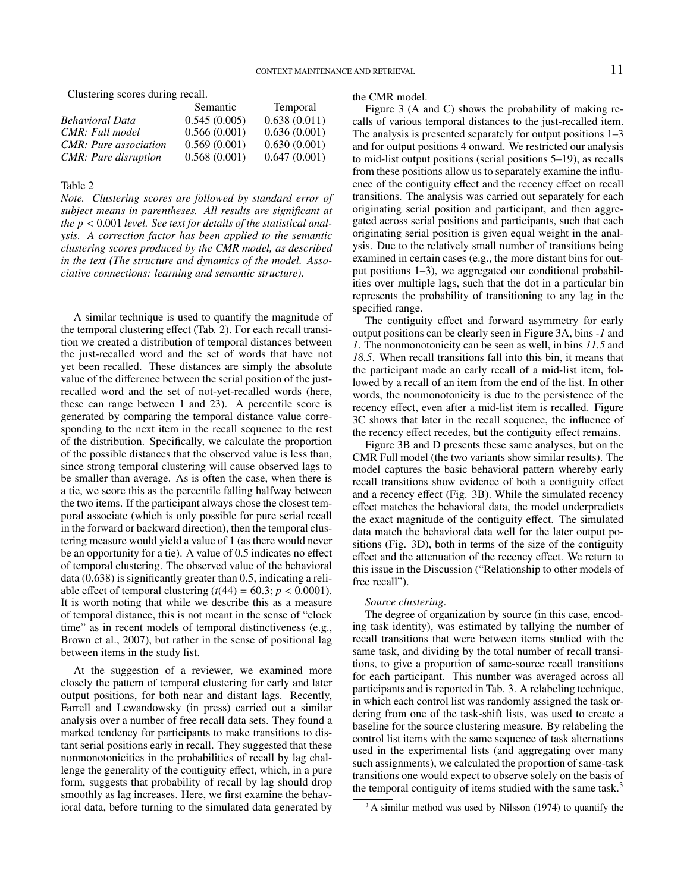Clustering scores during recall.

|                               | Semantic     | Temporal     |
|-------------------------------|--------------|--------------|
| <b>Behavioral Data</b>        | 0.545(0.005) | 0.638(0.011) |
| CMR: Full model               | 0.566(0.001) | 0.636(0.001) |
| <b>CMR</b> : Pure association | 0.569(0.001) | 0.630(0.001) |
| <b>CMR</b> : Pure disruption  | 0.568(0.001) | 0.647(0.001) |

#### Table 2

*Note. Clustering scores are followed by standard error of subject means in parentheses. All results are significant at the p* < <sup>0</sup>.<sup>001</sup> *level. See text for details of the statistical analysis. A correction factor has been applied to the semantic clustering scores produced by the CMR model, as described in the text (The structure and dynamics of the model. Associative connections: learning and semantic structure).*

A similar technique is used to quantify the magnitude of the temporal clustering effect (Tab. 2). For each recall transition we created a distribution of temporal distances between the just-recalled word and the set of words that have not yet been recalled. These distances are simply the absolute value of the difference between the serial position of the justrecalled word and the set of not-yet-recalled words (here, these can range between 1 and 23). A percentile score is generated by comparing the temporal distance value corresponding to the next item in the recall sequence to the rest of the distribution. Specifically, we calculate the proportion of the possible distances that the observed value is less than, since strong temporal clustering will cause observed lags to be smaller than average. As is often the case, when there is a tie, we score this as the percentile falling halfway between the two items. If the participant always chose the closest temporal associate (which is only possible for pure serial recall in the forward or backward direction), then the temporal clustering measure would yield a value of 1 (as there would never be an opportunity for a tie). A value of 0.5 indicates no effect of temporal clustering. The observed value of the behavioral data (0.638) is significantly greater than 0.5, indicating a reliable effect of temporal clustering  $(t(44) = 60.3; p < 0.0001)$ . It is worth noting that while we describe this as a measure of temporal distance, this is not meant in the sense of "clock time" as in recent models of temporal distinctiveness (e.g., Brown et al., 2007), but rather in the sense of positional lag between items in the study list.

At the suggestion of a reviewer, we examined more closely the pattern of temporal clustering for early and later output positions, for both near and distant lags. Recently, Farrell and Lewandowsky (in press) carried out a similar analysis over a number of free recall data sets. They found a marked tendency for participants to make transitions to distant serial positions early in recall. They suggested that these nonmonotonicities in the probabilities of recall by lag challenge the generality of the contiguity effect, which, in a pure form, suggests that probability of recall by lag should drop smoothly as lag increases. Here, we first examine the behavioral data, before turning to the simulated data generated by the CMR model.

Figure 3 (A and C) shows the probability of making recalls of various temporal distances to the just-recalled item. The analysis is presented separately for output positions 1–3 and for output positions 4 onward. We restricted our analysis to mid-list output positions (serial positions 5–19), as recalls from these positions allow us to separately examine the influence of the contiguity effect and the recency effect on recall transitions. The analysis was carried out separately for each originating serial position and participant, and then aggregated across serial positions and participants, such that each originating serial position is given equal weight in the analysis. Due to the relatively small number of transitions being examined in certain cases (e.g., the more distant bins for output positions 1–3), we aggregated our conditional probabilities over multiple lags, such that the dot in a particular bin represents the probability of transitioning to any lag in the specified range.

The contiguity effect and forward asymmetry for early output positions can be clearly seen in Figure 3A, bins *-1* and *1*. The nonmonotonicity can be seen as well, in bins *11.5* and *18.5*. When recall transitions fall into this bin, it means that the participant made an early recall of a mid-list item, followed by a recall of an item from the end of the list. In other words, the nonmonotonicity is due to the persistence of the recency effect, even after a mid-list item is recalled. Figure 3C shows that later in the recall sequence, the influence of the recency effect recedes, but the contiguity effect remains.

Figure 3B and D presents these same analyses, but on the CMR Full model (the two variants show similar results). The model captures the basic behavioral pattern whereby early recall transitions show evidence of both a contiguity effect and a recency effect (Fig. 3B). While the simulated recency effect matches the behavioral data, the model underpredicts the exact magnitude of the contiguity effect. The simulated data match the behavioral data well for the later output positions (Fig. 3D), both in terms of the size of the contiguity effect and the attenuation of the recency effect. We return to this issue in the Discussion ("Relationship to other models of free recall").

#### *Source clustering*.

The degree of organization by source (in this case, encoding task identity), was estimated by tallying the number of recall transitions that were between items studied with the same task, and dividing by the total number of recall transitions, to give a proportion of same-source recall transitions for each participant. This number was averaged across all participants and is reported in Tab. 3. A relabeling technique, in which each control list was randomly assigned the task ordering from one of the task-shift lists, was used to create a baseline for the source clustering measure. By relabeling the control list items with the same sequence of task alternations used in the experimental lists (and aggregating over many such assignments), we calculated the proportion of same-task transitions one would expect to observe solely on the basis of the temporal contiguity of items studied with the same task.<sup>3</sup>

<sup>&</sup>lt;sup>3</sup> A similar method was used by Nilsson (1974) to quantify the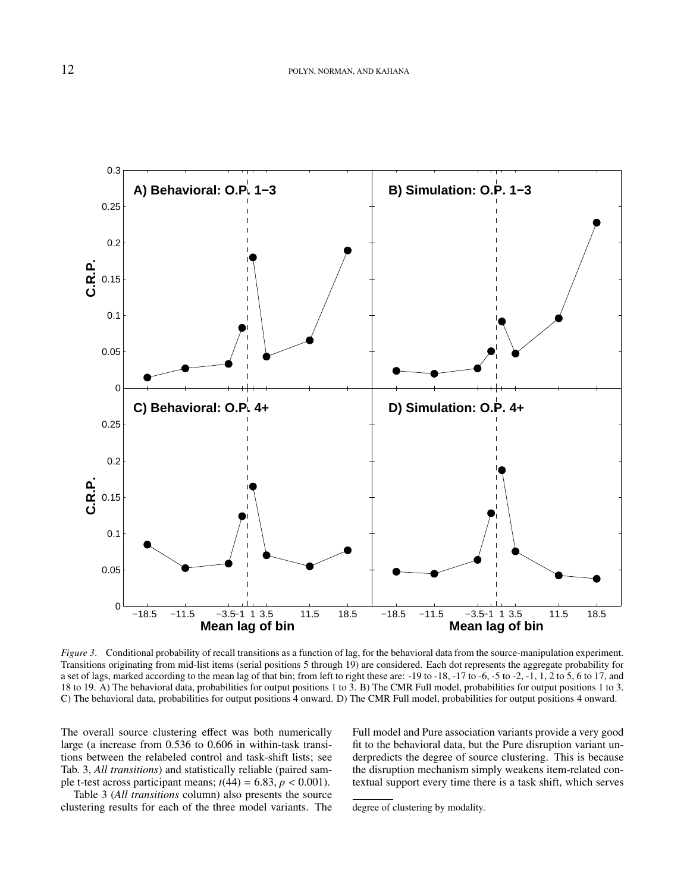

*Figure 3*. Conditional probability of recall transitions as a function of lag, for the behavioral data from the source-manipulation experiment. Transitions originating from mid-list items (serial positions 5 through 19) are considered. Each dot represents the aggregate probability for a set of lags, marked according to the mean lag of that bin; from left to right these are: -19 to -18, -17 to -6, -5 to -2, -1, 1, 2 to 5, 6 to 17, and 18 to 19. A) The behavioral data, probabilities for output positions 1 to 3. B) The CMR Full model, probabilities for output positions 1 to 3. C) The behavioral data, probabilities for output positions 4 onward. D) The CMR Full model, probabilities for output positions 4 onward.

The overall source clustering effect was both numerically large (a increase from 0.536 to 0.606 in within-task transitions between the relabeled control and task-shift lists; see Tab. 3, *All transitions*) and statistically reliable (paired sample t-test across participant means;  $t(44) = 6.83$ ,  $p < 0.001$ ).

Full model and Pure association variants provide a very good fit to the behavioral data, but the Pure disruption variant underpredicts the degree of source clustering. This is because the disruption mechanism simply weakens item-related contextual support every time there is a task shift, which serves

Table 3 (*All transitions* column) also presents the source clustering results for each of the three model variants. The

degree of clustering by modality.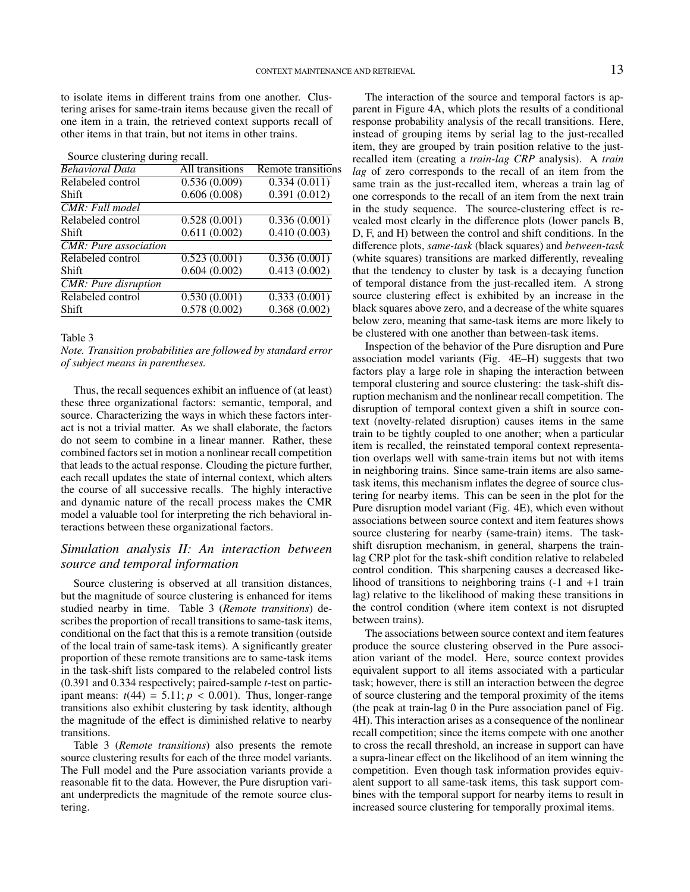to isolate items in different trains from one another. Clustering arises for same-train items because given the recall of one item in a train, the retrieved context supports recall of other items in that train, but not items in other trains.

| Source clustering during recall. |                           |                           |
|----------------------------------|---------------------------|---------------------------|
| <b>Behavioral Data</b>           | All transitions           | Remote transitions        |
| Relabeled control                | 0.536(0.009)              | $\overline{0.334(0.011)}$ |
| Shift                            | 0.606(0.008)              | 0.391(0.012)              |
| CMR: Full model                  |                           |                           |
| Relabeled control                | 0.528(0.001)              | 0.336(0.001)              |
| Shift                            | 0.611(0.002)              | 0.410(0.003)              |
| <b>CMR</b> : Pure association    |                           |                           |
| Relabeled control                | 0.523(0.001)              | 0.336(0.001)              |
| <b>Shift</b>                     | 0.604(0.002)              | 0.413(0.002)              |
| <b>CMR</b> : Pure disruption     |                           |                           |
| Relabeled control                | $0.5\overline{30(0.001)}$ | 0.333(0.001)              |
| Shift                            | 0.578(0.002)              | 0.368(0.002)              |
|                                  |                           |                           |

Table 3

*Note. Transition probabilities are followed by standard error of subject means in parentheses.*

Thus, the recall sequences exhibit an influence of (at least) these three organizational factors: semantic, temporal, and source. Characterizing the ways in which these factors interact is not a trivial matter. As we shall elaborate, the factors do not seem to combine in a linear manner. Rather, these combined factors set in motion a nonlinear recall competition that leads to the actual response. Clouding the picture further, each recall updates the state of internal context, which alters the course of all successive recalls. The highly interactive and dynamic nature of the recall process makes the CMR model a valuable tool for interpreting the rich behavioral interactions between these organizational factors.

# *Simulation analysis II: An interaction between source and temporal information*

Source clustering is observed at all transition distances, but the magnitude of source clustering is enhanced for items studied nearby in time. Table 3 (*Remote transitions*) describes the proportion of recall transitions to same-task items, conditional on the fact that this is a remote transition (outside of the local train of same-task items). A significantly greater proportion of these remote transitions are to same-task items in the task-shift lists compared to the relabeled control lists (0.391 and 0.334 respectively; paired-sample *t*-test on participant means:  $t(44) = 5.11$ ;  $p < 0.001$ ). Thus, longer-range transitions also exhibit clustering by task identity, although the magnitude of the effect is diminished relative to nearby transitions.

Table 3 (*Remote transitions*) also presents the remote source clustering results for each of the three model variants. The Full model and the Pure association variants provide a reasonable fit to the data. However, the Pure disruption variant underpredicts the magnitude of the remote source clustering.

The interaction of the source and temporal factors is apparent in Figure 4A, which plots the results of a conditional response probability analysis of the recall transitions. Here, instead of grouping items by serial lag to the just-recalled item, they are grouped by train position relative to the justrecalled item (creating a *train-lag CRP* analysis). A *train lag* of zero corresponds to the recall of an item from the same train as the just-recalled item, whereas a train lag of one corresponds to the recall of an item from the next train in the study sequence. The source-clustering effect is revealed most clearly in the difference plots (lower panels B, D, F, and H) between the control and shift conditions. In the difference plots, *same-task* (black squares) and *between-task* (white squares) transitions are marked differently, revealing that the tendency to cluster by task is a decaying function of temporal distance from the just-recalled item. A strong source clustering effect is exhibited by an increase in the black squares above zero, and a decrease of the white squares below zero, meaning that same-task items are more likely to be clustered with one another than between-task items.

Inspection of the behavior of the Pure disruption and Pure association model variants (Fig. 4E–H) suggests that two factors play a large role in shaping the interaction between temporal clustering and source clustering: the task-shift disruption mechanism and the nonlinear recall competition. The disruption of temporal context given a shift in source context (novelty-related disruption) causes items in the same train to be tightly coupled to one another; when a particular item is recalled, the reinstated temporal context representation overlaps well with same-train items but not with items in neighboring trains. Since same-train items are also sametask items, this mechanism inflates the degree of source clustering for nearby items. This can be seen in the plot for the Pure disruption model variant (Fig. 4E), which even without associations between source context and item features shows source clustering for nearby (same-train) items. The taskshift disruption mechanism, in general, sharpens the trainlag CRP plot for the task-shift condition relative to relabeled control condition. This sharpening causes a decreased likelihood of transitions to neighboring trains (-1 and +1 train lag) relative to the likelihood of making these transitions in the control condition (where item context is not disrupted between trains).

The associations between source context and item features produce the source clustering observed in the Pure association variant of the model. Here, source context provides equivalent support to all items associated with a particular task; however, there is still an interaction between the degree of source clustering and the temporal proximity of the items (the peak at train-lag 0 in the Pure association panel of Fig. 4H). This interaction arises as a consequence of the nonlinear recall competition; since the items compete with one another to cross the recall threshold, an increase in support can have a supra-linear effect on the likelihood of an item winning the competition. Even though task information provides equivalent support to all same-task items, this task support combines with the temporal support for nearby items to result in increased source clustering for temporally proximal items.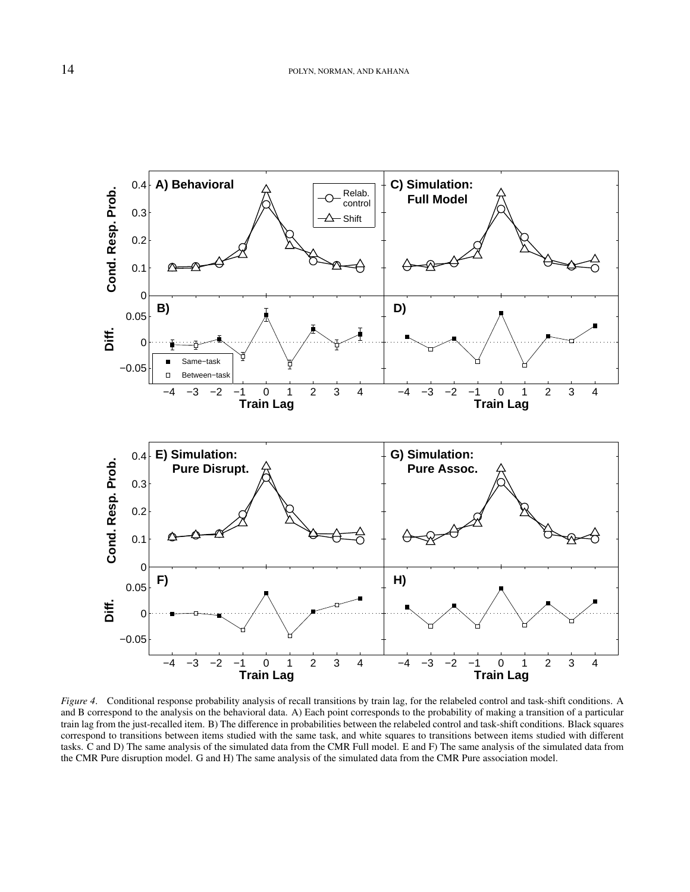

*Figure 4*. Conditional response probability analysis of recall transitions by train lag, for the relabeled control and task-shift conditions. A and B correspond to the analysis on the behavioral data. A) Each point corresponds to the probability of making a transition of a particular train lag from the just-recalled item. B) The difference in probabilities between the relabeled control and task-shift conditions. Black squares correspond to transitions between items studied with the same task, and white squares to transitions between items studied with different tasks. C and D) The same analysis of the simulated data from the CMR Full model. E and F) The same analysis of the simulated data from the CMR Pure disruption model. G and H) The same analysis of the simulated data from the CMR Pure association model.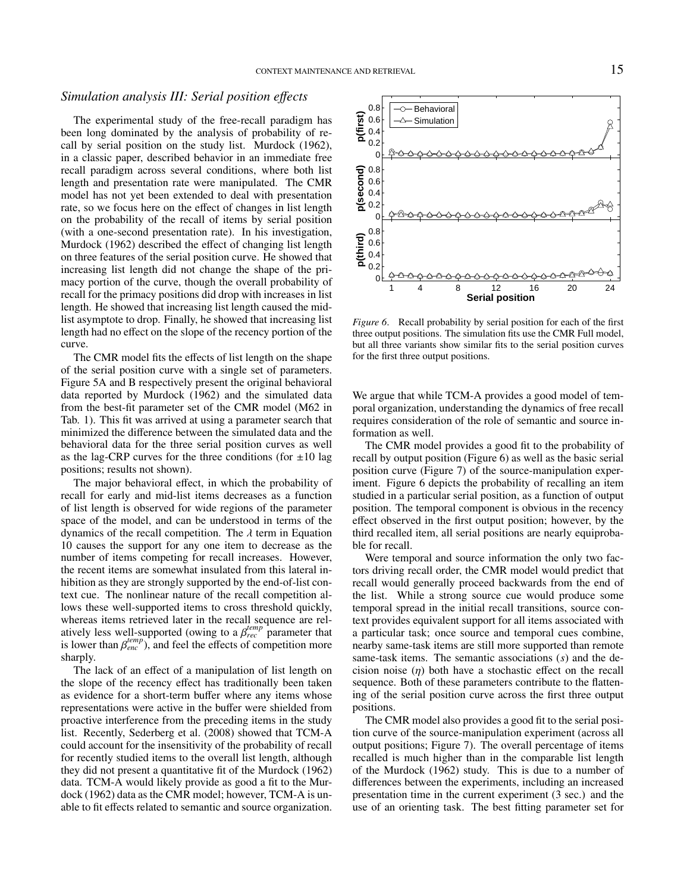# *Simulation analysis III: Serial position e*ff*ects*

The experimental study of the free-recall paradigm has been long dominated by the analysis of probability of recall by serial position on the study list. Murdock (1962), in a classic paper, described behavior in an immediate free recall paradigm across several conditions, where both list length and presentation rate were manipulated. The CMR model has not yet been extended to deal with presentation rate, so we focus here on the effect of changes in list length on the probability of the recall of items by serial position (with a one-second presentation rate). In his investigation, Murdock (1962) described the effect of changing list length on three features of the serial position curve. He showed that increasing list length did not change the shape of the primacy portion of the curve, though the overall probability of recall for the primacy positions did drop with increases in list length. He showed that increasing list length caused the midlist asymptote to drop. Finally, he showed that increasing list length had no effect on the slope of the recency portion of the curve.

The CMR model fits the effects of list length on the shape of the serial position curve with a single set of parameters. Figure 5A and B respectively present the original behavioral data reported by Murdock (1962) and the simulated data from the best-fit parameter set of the CMR model (M62 in Tab. 1). This fit was arrived at using a parameter search that minimized the difference between the simulated data and the behavioral data for the three serial position curves as well as the lag-CRP curves for the three conditions (for  $\pm 10$  lag positions; results not shown).

The major behavioral effect, in which the probability of recall for early and mid-list items decreases as a function of list length is observed for wide regions of the parameter space of the model, and can be understood in terms of the dynamics of the recall competition. The  $\lambda$  term in Equation 10 causes the support for any one item to decrease as the number of items competing for recall increases. However, the recent items are somewhat insulated from this lateral inhibition as they are strongly supported by the end-of-list context cue. The nonlinear nature of the recall competition allows these well-supported items to cross threshold quickly, whereas items retrieved later in the recall sequence are relatively less well-supported (owing to a  $\beta_{rec}^{temp}$  parameter that is lower than  $\beta^{temp}$ ) and feel the effects of competition more is lower than  $\beta_{enc}^{temp}$ ), and feel the effects of competition more sharply sharply.

The lack of an effect of a manipulation of list length on the slope of the recency effect has traditionally been taken as evidence for a short-term buffer where any items whose representations were active in the buffer were shielded from proactive interference from the preceding items in the study list. Recently, Sederberg et al. (2008) showed that TCM-A could account for the insensitivity of the probability of recall for recently studied items to the overall list length, although they did not present a quantitative fit of the Murdock (1962) data. TCM-A would likely provide as good a fit to the Murdock (1962) data as the CMR model; however, TCM-A is unable to fit effects related to semantic and source organization.

0F 0.2  $0.4$ **p**<br>**p** 0.4<br>**p** 0.4 0.8 0F  $\overline{0}$ . 0.4 0.6  $0.8$ **p(second)** 1 4 8 12 16 20 24 0 E  $0.2$  $0.4$ 0.6  $0.8$ **p(third) Serial position** -O-Behavioral  $\triangle$  Simulation

*Figure 6*. Recall probability by serial position for each of the first three output positions. The simulation fits use the CMR Full model, but all three variants show similar fits to the serial position curves for the first three output positions.

We argue that while TCM-A provides a good model of temporal organization, understanding the dynamics of free recall requires consideration of the role of semantic and source information as well.

The CMR model provides a good fit to the probability of recall by output position (Figure 6) as well as the basic serial position curve (Figure 7) of the source-manipulation experiment. Figure 6 depicts the probability of recalling an item studied in a particular serial position, as a function of output position. The temporal component is obvious in the recency effect observed in the first output position; however, by the third recalled item, all serial positions are nearly equiprobable for recall.

Were temporal and source information the only two factors driving recall order, the CMR model would predict that recall would generally proceed backwards from the end of the list. While a strong source cue would produce some temporal spread in the initial recall transitions, source context provides equivalent support for all items associated with a particular task; once source and temporal cues combine, nearby same-task items are still more supported than remote same-task items. The semantic associations (*s*) and the decision noise  $(\eta)$  both have a stochastic effect on the recall sequence. Both of these parameters contribute to the flattening of the serial position curve across the first three output positions.

The CMR model also provides a good fit to the serial position curve of the source-manipulation experiment (across all output positions; Figure 7). The overall percentage of items recalled is much higher than in the comparable list length of the Murdock (1962) study. This is due to a number of differences between the experiments, including an increased presentation time in the current experiment (3 sec.) and the use of an orienting task. The best fitting parameter set for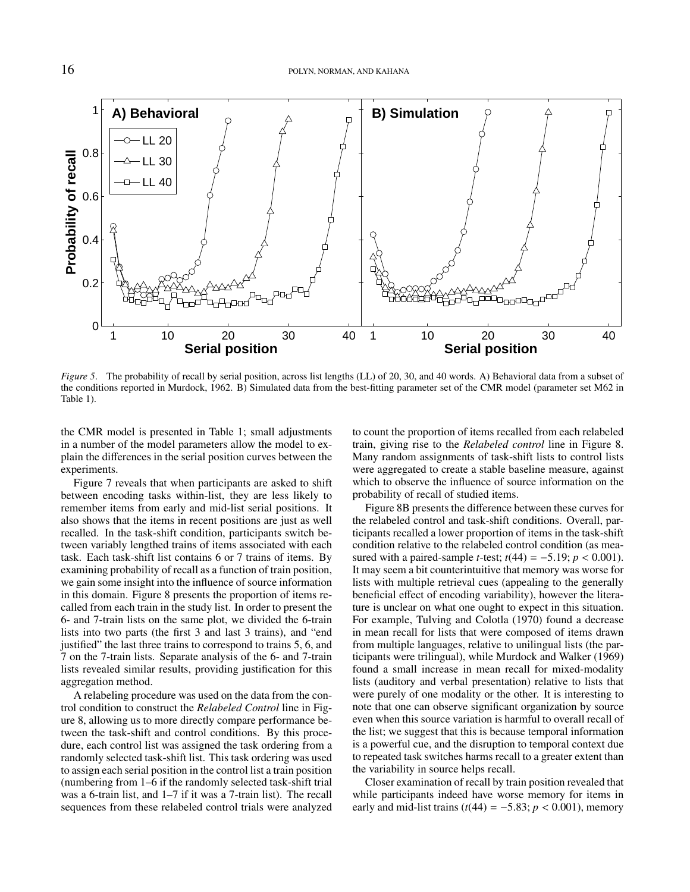

*Figure 5*. The probability of recall by serial position, across list lengths (LL) of 20, 30, and 40 words. A) Behavioral data from a subset of the conditions reported in Murdock, 1962. B) Simulated data from the best-fitting parameter set of the CMR model (parameter set M62 in Table 1).

the CMR model is presented in Table 1; small adjustments in a number of the model parameters allow the model to explain the differences in the serial position curves between the experiments.

Figure 7 reveals that when participants are asked to shift between encoding tasks within-list, they are less likely to remember items from early and mid-list serial positions. It also shows that the items in recent positions are just as well recalled. In the task-shift condition, participants switch between variably lengthed trains of items associated with each task. Each task-shift list contains 6 or 7 trains of items. By examining probability of recall as a function of train position, we gain some insight into the influence of source information in this domain. Figure 8 presents the proportion of items recalled from each train in the study list. In order to present the 6- and 7-train lists on the same plot, we divided the 6-train lists into two parts (the first 3 and last 3 trains), and "end justified" the last three trains to correspond to trains 5, 6, and 7 on the 7-train lists. Separate analysis of the 6- and 7-train lists revealed similar results, providing justification for this aggregation method.

A relabeling procedure was used on the data from the control condition to construct the *Relabeled Control* line in Figure 8, allowing us to more directly compare performance between the task-shift and control conditions. By this procedure, each control list was assigned the task ordering from a randomly selected task-shift list. This task ordering was used to assign each serial position in the control list a train position (numbering from 1–6 if the randomly selected task-shift trial was a 6-train list, and 1–7 if it was a 7-train list). The recall sequences from these relabeled control trials were analyzed to count the proportion of items recalled from each relabeled train, giving rise to the *Relabeled control* line in Figure 8. Many random assignments of task-shift lists to control lists were aggregated to create a stable baseline measure, against which to observe the influence of source information on the probability of recall of studied items.

Figure 8B presents the difference between these curves for the relabeled control and task-shift conditions. Overall, participants recalled a lower proportion of items in the task-shift condition relative to the relabeled control condition (as measured with a paired-sample *t*-test;  $t(44) = -5.19$ ;  $p < 0.001$ ). It may seem a bit counterintuitive that memory was worse for lists with multiple retrieval cues (appealing to the generally beneficial effect of encoding variability), however the literature is unclear on what one ought to expect in this situation. For example, Tulving and Colotla (1970) found a decrease in mean recall for lists that were composed of items drawn from multiple languages, relative to unilingual lists (the participants were trilingual), while Murdock and Walker (1969) found a small increase in mean recall for mixed-modality lists (auditory and verbal presentation) relative to lists that were purely of one modality or the other. It is interesting to note that one can observe significant organization by source even when this source variation is harmful to overall recall of the list; we suggest that this is because temporal information is a powerful cue, and the disruption to temporal context due to repeated task switches harms recall to a greater extent than the variability in source helps recall.

Closer examination of recall by train position revealed that while participants indeed have worse memory for items in early and mid-list trains  $(t(44) = -5.83; p < 0.001)$ , memory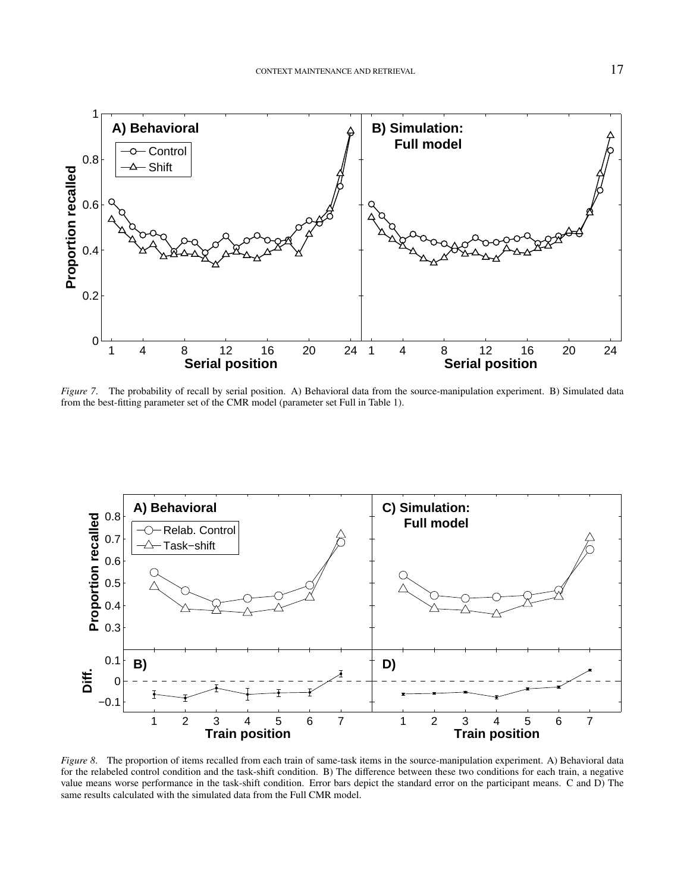

*Figure 7*. The probability of recall by serial position. A) Behavioral data from the source-manipulation experiment. B) Simulated data from the best-fitting parameter set of the CMR model (parameter set Full in Table 1).



*Figure 8*. The proportion of items recalled from each train of same-task items in the source-manipulation experiment. A) Behavioral data for the relabeled control condition and the task-shift condition. B) The difference between these two conditions for each train, a negative value means worse performance in the task-shift condition. Error bars depict the standard error on the participant means. C and D) The same results calculated with the simulated data from the Full CMR model.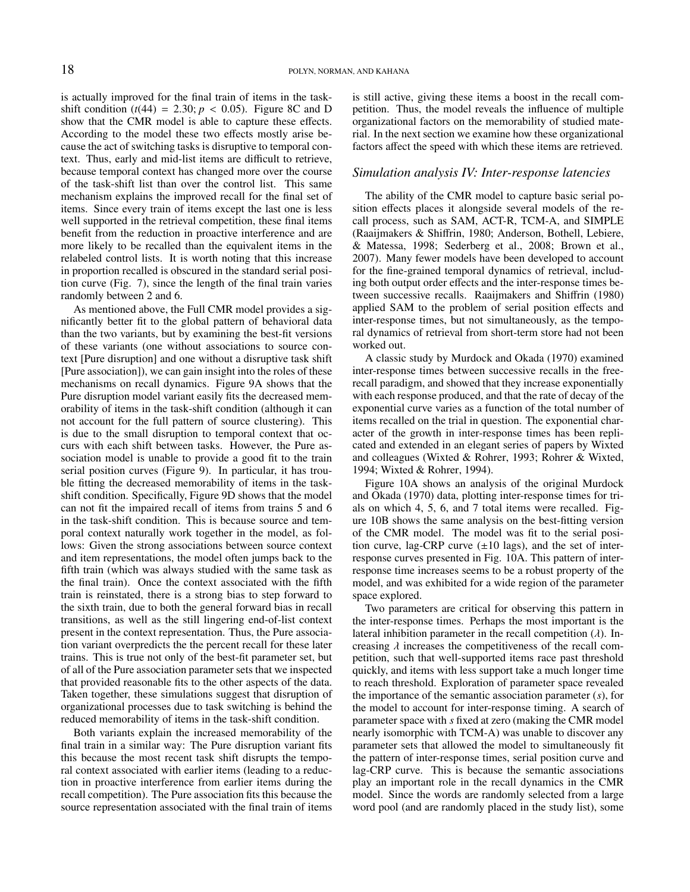is actually improved for the final train of items in the taskshift condition  $(t(44) = 2.30; p < 0.05)$ . Figure 8C and D show that the CMR model is able to capture these effects. According to the model these two effects mostly arise because the act of switching tasks is disruptive to temporal context. Thus, early and mid-list items are difficult to retrieve, because temporal context has changed more over the course of the task-shift list than over the control list. This same mechanism explains the improved recall for the final set of items. Since every train of items except the last one is less well supported in the retrieval competition, these final items benefit from the reduction in proactive interference and are more likely to be recalled than the equivalent items in the relabeled control lists. It is worth noting that this increase in proportion recalled is obscured in the standard serial position curve (Fig. 7), since the length of the final train varies randomly between 2 and 6.

As mentioned above, the Full CMR model provides a significantly better fit to the global pattern of behavioral data than the two variants, but by examining the best-fit versions of these variants (one without associations to source context [Pure disruption] and one without a disruptive task shift [Pure association]), we can gain insight into the roles of these mechanisms on recall dynamics. Figure 9A shows that the Pure disruption model variant easily fits the decreased memorability of items in the task-shift condition (although it can not account for the full pattern of source clustering). This is due to the small disruption to temporal context that occurs with each shift between tasks. However, the Pure association model is unable to provide a good fit to the train serial position curves (Figure 9). In particular, it has trouble fitting the decreased memorability of items in the taskshift condition. Specifically, Figure 9D shows that the model can not fit the impaired recall of items from trains 5 and 6 in the task-shift condition. This is because source and temporal context naturally work together in the model, as follows: Given the strong associations between source context and item representations, the model often jumps back to the fifth train (which was always studied with the same task as the final train). Once the context associated with the fifth train is reinstated, there is a strong bias to step forward to the sixth train, due to both the general forward bias in recall transitions, as well as the still lingering end-of-list context present in the context representation. Thus, the Pure association variant overpredicts the the percent recall for these later trains. This is true not only of the best-fit parameter set, but of all of the Pure association parameter sets that we inspected that provided reasonable fits to the other aspects of the data. Taken together, these simulations suggest that disruption of organizational processes due to task switching is behind the reduced memorability of items in the task-shift condition.

Both variants explain the increased memorability of the final train in a similar way: The Pure disruption variant fits this because the most recent task shift disrupts the temporal context associated with earlier items (leading to a reduction in proactive interference from earlier items during the recall competition). The Pure association fits this because the source representation associated with the final train of items is still active, giving these items a boost in the recall competition. Thus, the model reveals the influence of multiple organizational factors on the memorability of studied material. In the next section we examine how these organizational factors affect the speed with which these items are retrieved.

# *Simulation analysis IV: Inter-response latencies*

The ability of the CMR model to capture basic serial position effects places it alongside several models of the recall process, such as SAM, ACT-R, TCM-A, and SIMPLE (Raaijmakers & Shiffrin, 1980; Anderson, Bothell, Lebiere, & Matessa, 1998; Sederberg et al., 2008; Brown et al., 2007). Many fewer models have been developed to account for the fine-grained temporal dynamics of retrieval, including both output order effects and the inter-response times between successive recalls. Raaijmakers and Shiffrin (1980) applied SAM to the problem of serial position effects and inter-response times, but not simultaneously, as the temporal dynamics of retrieval from short-term store had not been worked out.

A classic study by Murdock and Okada (1970) examined inter-response times between successive recalls in the freerecall paradigm, and showed that they increase exponentially with each response produced, and that the rate of decay of the exponential curve varies as a function of the total number of items recalled on the trial in question. The exponential character of the growth in inter-response times has been replicated and extended in an elegant series of papers by Wixted and colleagues (Wixted & Rohrer, 1993; Rohrer & Wixted, 1994; Wixted & Rohrer, 1994).

Figure 10A shows an analysis of the original Murdock and Okada (1970) data, plotting inter-response times for trials on which 4, 5, 6, and 7 total items were recalled. Figure 10B shows the same analysis on the best-fitting version of the CMR model. The model was fit to the serial position curve, lag-CRP curve  $(\pm 10 \text{ lags})$ , and the set of interresponse curves presented in Fig. 10A. This pattern of interresponse time increases seems to be a robust property of the model, and was exhibited for a wide region of the parameter space explored.

Two parameters are critical for observing this pattern in the inter-response times. Perhaps the most important is the lateral inhibition parameter in the recall competition  $(\lambda)$ . Increasing  $\lambda$  increases the competitiveness of the recall competition, such that well-supported items race past threshold quickly, and items with less support take a much longer time to reach threshold. Exploration of parameter space revealed the importance of the semantic association parameter (*s*), for the model to account for inter-response timing. A search of parameter space with *s* fixed at zero (making the CMR model nearly isomorphic with TCM-A) was unable to discover any parameter sets that allowed the model to simultaneously fit the pattern of inter-response times, serial position curve and lag-CRP curve. This is because the semantic associations play an important role in the recall dynamics in the CMR model. Since the words are randomly selected from a large word pool (and are randomly placed in the study list), some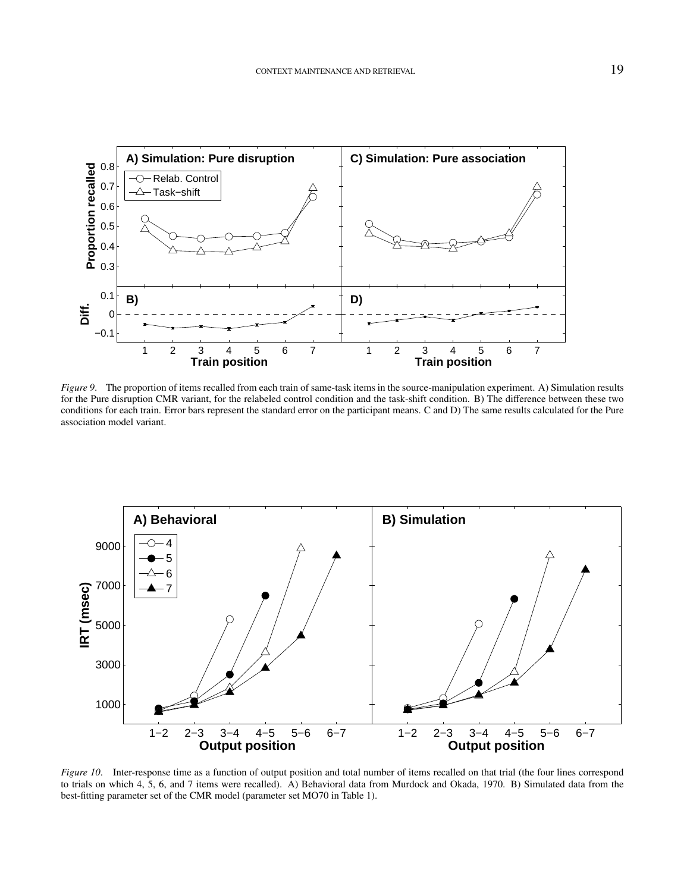

*Figure 9*. The proportion of items recalled from each train of same-task items in the source-manipulation experiment. A) Simulation results for the Pure disruption CMR variant, for the relabeled control condition and the task-shift condition. B) The difference between these two conditions for each train. Error bars represent the standard error on the participant means. C and D) The same results calculated for the Pure association model variant.



*Figure 10*. Inter-response time as a function of output position and total number of items recalled on that trial (the four lines correspond to trials on which 4, 5, 6, and 7 items were recalled). A) Behavioral data from Murdock and Okada, 1970. B) Simulated data from the best-fitting parameter set of the CMR model (parameter set MO70 in Table 1).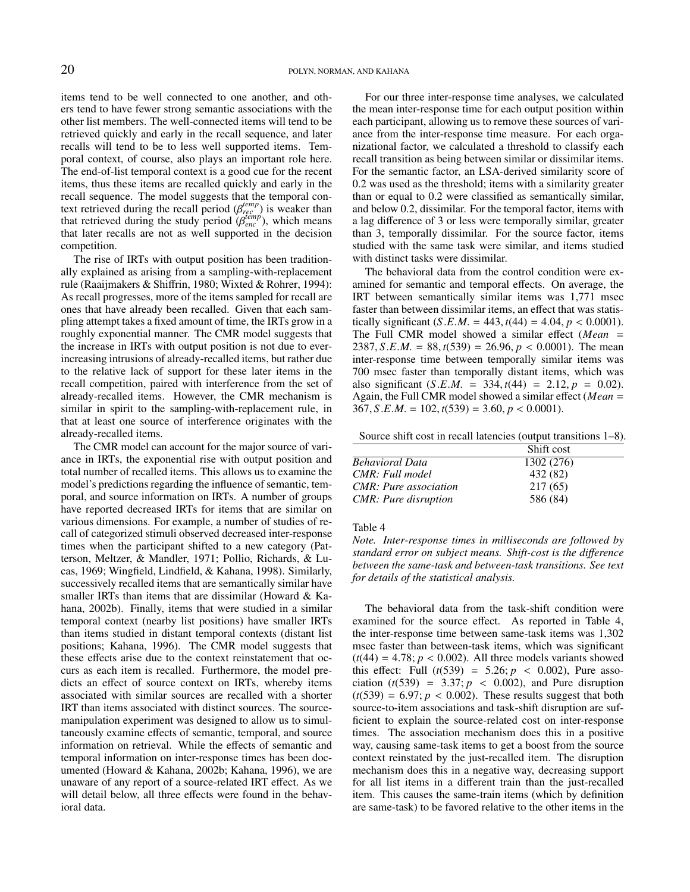items tend to be well connected to one another, and others tend to have fewer strong semantic associations with the other list members. The well-connected items will tend to be retrieved quickly and early in the recall sequence, and later recalls will tend to be to less well supported items. Temporal context, of course, also plays an important role here. The end-of-list temporal context is a good cue for the recent items, thus these items are recalled quickly and early in the recall sequence. The model suggests that the temporal context retrieved during the recall period  $(\beta_{\text{free}}^{temp})$  is weaker than that retrieved during the study period  $(\beta_{\text{free}}^{temp})$  which means that retrieved during the study period  $(\beta_{enc}^{temp})$ , which means that later recalls are not as well supported in the decision that later recalls are not as well supported in the decision competition.

The rise of IRTs with output position has been traditionally explained as arising from a sampling-with-replacement rule (Raaijmakers & Shiffrin, 1980; Wixted & Rohrer, 1994): As recall progresses, more of the items sampled for recall are ones that have already been recalled. Given that each sampling attempt takes a fixed amount of time, the IRTs grow in a roughly exponential manner. The CMR model suggests that the increase in IRTs with output position is not due to everincreasing intrusions of already-recalled items, but rather due to the relative lack of support for these later items in the recall competition, paired with interference from the set of already-recalled items. However, the CMR mechanism is similar in spirit to the sampling-with-replacement rule, in that at least one source of interference originates with the already-recalled items.

The CMR model can account for the major source of variance in IRTs, the exponential rise with output position and total number of recalled items. This allows us to examine the model's predictions regarding the influence of semantic, temporal, and source information on IRTs. A number of groups have reported decreased IRTs for items that are similar on various dimensions. For example, a number of studies of recall of categorized stimuli observed decreased inter-response times when the participant shifted to a new category (Patterson, Meltzer, & Mandler, 1971; Pollio, Richards, & Lucas, 1969; Wingfield, Lindfield, & Kahana, 1998). Similarly, successively recalled items that are semantically similar have smaller IRTs than items that are dissimilar (Howard & Kahana, 2002b). Finally, items that were studied in a similar temporal context (nearby list positions) have smaller IRTs than items studied in distant temporal contexts (distant list positions; Kahana, 1996). The CMR model suggests that these effects arise due to the context reinstatement that occurs as each item is recalled. Furthermore, the model predicts an effect of source context on IRTs, whereby items associated with similar sources are recalled with a shorter IRT than items associated with distinct sources. The sourcemanipulation experiment was designed to allow us to simultaneously examine effects of semantic, temporal, and source information on retrieval. While the effects of semantic and temporal information on inter-response times has been documented (Howard & Kahana, 2002b; Kahana, 1996), we are unaware of any report of a source-related IRT effect. As we will detail below, all three effects were found in the behavioral data.

For our three inter-response time analyses, we calculated the mean inter-response time for each output position within each participant, allowing us to remove these sources of variance from the inter-response time measure. For each organizational factor, we calculated a threshold to classify each recall transition as being between similar or dissimilar items. For the semantic factor, an LSA-derived similarity score of 0.2 was used as the threshold; items with a similarity greater than or equal to 0.2 were classified as semantically similar, and below 0.2, dissimilar. For the temporal factor, items with a lag difference of 3 or less were temporally similar, greater than 3, temporally dissimilar. For the source factor, items studied with the same task were similar, and items studied with distinct tasks were dissimilar.

The behavioral data from the control condition were examined for semantic and temporal effects. On average, the IRT between semantically similar items was 1,771 msec faster than between dissimilar items, an effect that was statistically significant (*S.E.M.* = 443,  $t(44) = 4.04$ ,  $p < 0.0001$ ). The Full CMR model showed a similar effect (*Mean* = 2387, *S.E.M.* = 88,  $t(539) = 26.96$ ,  $p < 0.0001$ ). The mean inter-response time between temporally similar items was 700 msec faster than temporally distant items, which was also significant (*S.E.M.* = 334,  $t(44)$  = 2.12,  $p = 0.02$ ). Again, the Full CMR model showed a similar effect (*Mean* =  $367, S.E.M. = 102, t(539) = 3.60, p < 0.0001$ .

Source shift cost in recall latencies (output transitions 1–8).

|                              | Shift cost |  |
|------------------------------|------------|--|
| Behavioral Data              | 1302 (276) |  |
| CMR: Full model              | 432 (82)   |  |
| CMR: Pure association        | 217(65)    |  |
| <b>CMR</b> : Pure disruption | 586 (84)   |  |

Table 4

*Note. Inter-response times in milliseconds are followed by standard error on subject means. Shift-cost is the di*ff*erence between the same-task and between-task transitions. See text for details of the statistical analysis.*

The behavioral data from the task-shift condition were examined for the source effect. As reported in Table 4, the inter-response time between same-task items was 1,302 msec faster than between-task items, which was significant  $(t(44) = 4.78; p < 0.002)$ . All three models variants showed this effect: Full  $(t(539) = 5.26; p < 0.002)$ , Pure association  $(t(539) = 3.37; p < 0.002)$ , and Pure disruption  $(t(539) = 6.97; p < 0.002)$ . These results suggest that both source-to-item associations and task-shift disruption are sufficient to explain the source-related cost on inter-response times. The association mechanism does this in a positive way, causing same-task items to get a boost from the source context reinstated by the just-recalled item. The disruption mechanism does this in a negative way, decreasing support for all list items in a different train than the just-recalled item. This causes the same-train items (which by definition are same-task) to be favored relative to the other items in the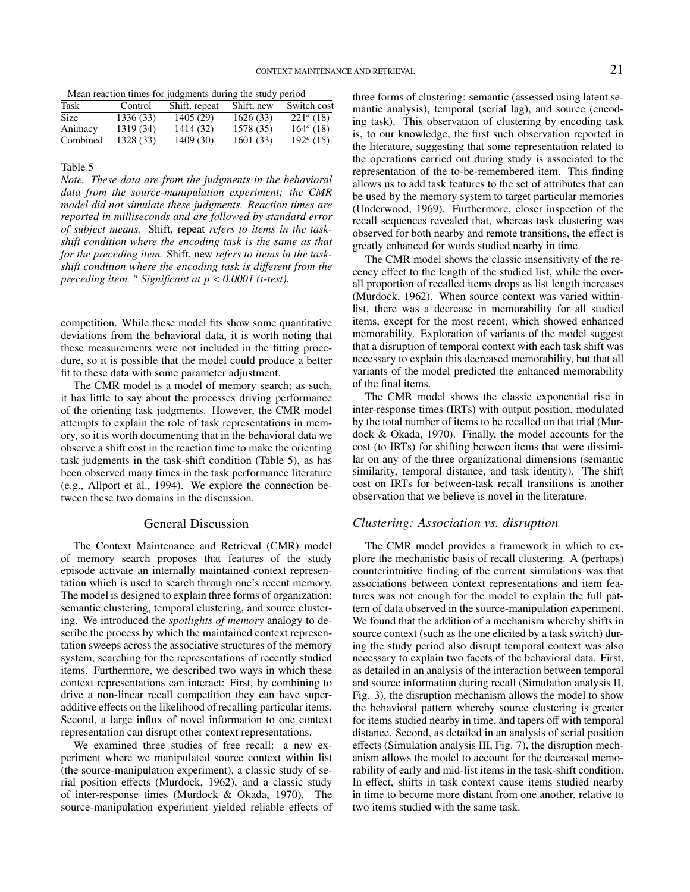Mean reaction times for judgments during the study period

| Task        | Control   | Shift, repeat | Shift, new | Switch cost |
|-------------|-----------|---------------|------------|-------------|
| <b>Size</b> | 1336 (33) | 1405 (29)     | 1626(33)   | $221^a(18)$ |
| Animacy     | 1319 (34) | 1414 (32)     | 1578 (35)  | $164^a(18)$ |
| Combined    | 1328(33)  | 1409 (30)     | 1601(33)   | $192^a(15)$ |

#### Table 5

*Note. These data are from the judgments in the behavioral data from the source-manipulation experiment; the CMR model did not simulate these judgments. Reaction times are reported in milliseconds and are followed by standard error of subject means.* Shift, repeat *refers to items in the taskshift condition where the encoding task is the same as that for the preceding item.* Shift, new *refers to items in the taskshift condition where the encoding task is di*ff*erent from the preceding item. <sup>a</sup> Significant at p* < *0.0001 (t-test).*

competition. While these model fits show some quantitative deviations from the behavioral data, it is worth noting that these measurements were not included in the fitting procedure, so it is possible that the model could produce a better fit to these data with some parameter adjustment.

The CMR model is a model of memory search; as such, it has little to say about the processes driving performance of the orienting task judgments. However, the CMR model attempts to explain the role of task representations in memory, so it is worth documenting that in the behavioral data we observe a shift cost in the reaction time to make the orienting task judgments in the task-shift condition (Table 5), as has been observed many times in the task performance literature (e.g., Allport et al., 1994). We explore the connection between these two domains in the discussion.

#### General Discussion

The Context Maintenance and Retrieval (CMR) model of memory search proposes that features of the study episode activate an internally maintained context representation which is used to search through one's recent memory. The model is designed to explain three forms of organization: semantic clustering, temporal clustering, and source clustering. We introduced the *spotlights of memory* analogy to describe the process by which the maintained context representation sweeps across the associative structures of the memory system, searching for the representations of recently studied items. Furthermore, we described two ways in which these context representations can interact: First, by combining to drive a non-linear recall competition they can have superadditive effects on the likelihood of recalling particular items. Second, a large influx of novel information to one context representation can disrupt other context representations.

We examined three studies of free recall: a new experiment where we manipulated source context within list (the source-manipulation experiment), a classic study of serial position effects (Murdock, 1962), and a classic study of inter-response times (Murdock & Okada, 1970). The source-manipulation experiment yielded reliable effects of three forms of clustering: semantic (assessed using latent semantic analysis), temporal (serial lag), and source (encoding task). This observation of clustering by encoding task is, to our knowledge, the first such observation reported in the literature, suggesting that some representation related to the operations carried out during study is associated to the representation of the to-be-remembered item. This finding allows us to add task features to the set of attributes that can be used by the memory system to target particular memories (Underwood, 1969). Furthermore, closer inspection of the recall sequences revealed that, whereas task clustering was observed for both nearby and remote transitions, the effect is greatly enhanced for words studied nearby in time.

The CMR model shows the classic insensitivity of the recency effect to the length of the studied list, while the overall proportion of recalled items drops as list length increases (Murdock, 1962). When source context was varied withinlist, there was a decrease in memorability for all studied items, except for the most recent, which showed enhanced memorability. Exploration of variants of the model suggest that a disruption of temporal context with each task shift was necessary to explain this decreased memorability, but that all variants of the model predicted the enhanced memorability of the final items.

The CMR model shows the classic exponential rise in inter-response times (IRTs) with output position, modulated by the total number of items to be recalled on that trial (Murdock & Okada, 1970). Finally, the model accounts for the cost (to IRTs) for shifting between items that were dissimilar on any of the three organizational dimensions (semantic similarity, temporal distance, and task identity). The shift cost on IRTs for between-task recall transitions is another observation that we believe is novel in the literature.

#### *Clustering: Association vs. disruption*

The CMR model provides a framework in which to explore the mechanistic basis of recall clustering. A (perhaps) counterintuitive finding of the current simulations was that associations between context representations and item features was not enough for the model to explain the full pattern of data observed in the source-manipulation experiment. We found that the addition of a mechanism whereby shifts in source context (such as the one elicited by a task switch) during the study period also disrupt temporal context was also necessary to explain two facets of the behavioral data. First, as detailed in an analysis of the interaction between temporal and source information during recall (Simulation analysis II, Fig. 3), the disruption mechanism allows the model to show the behavioral pattern whereby source clustering is greater for items studied nearby in time, and tapers off with temporal distance. Second, as detailed in an analysis of serial position effects (Simulation analysis III, Fig. 7), the disruption mechanism allows the model to account for the decreased memorability of early and mid-list items in the task-shift condition. In effect, shifts in task context cause items studied nearby in time to become more distant from one another, relative to two items studied with the same task.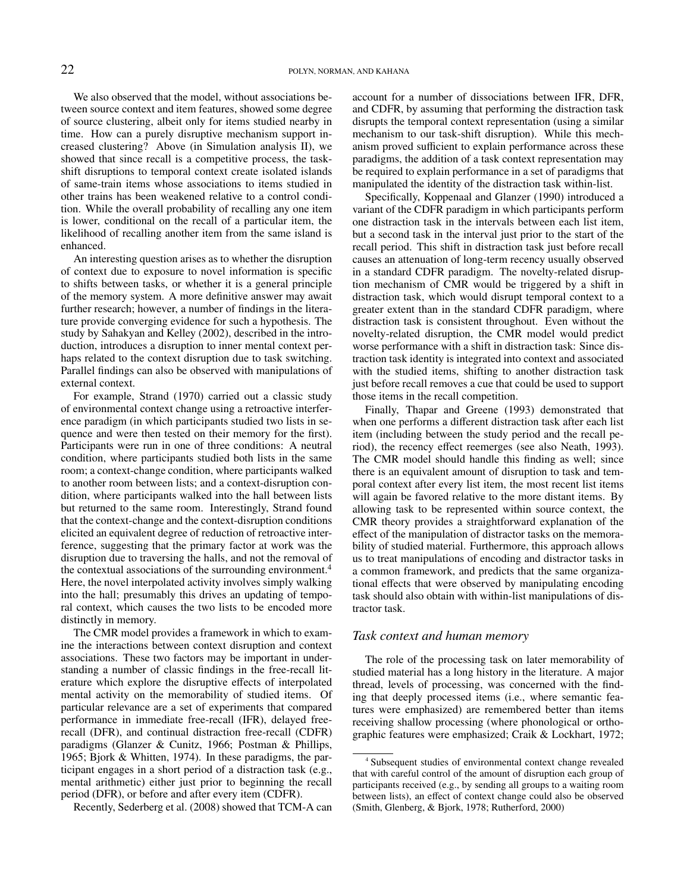We also observed that the model, without associations between source context and item features, showed some degree of source clustering, albeit only for items studied nearby in time. How can a purely disruptive mechanism support increased clustering? Above (in Simulation analysis II), we showed that since recall is a competitive process, the taskshift disruptions to temporal context create isolated islands of same-train items whose associations to items studied in other trains has been weakened relative to a control condition. While the overall probability of recalling any one item is lower, conditional on the recall of a particular item, the likelihood of recalling another item from the same island is enhanced.

An interesting question arises as to whether the disruption of context due to exposure to novel information is specific to shifts between tasks, or whether it is a general principle of the memory system. A more definitive answer may await further research; however, a number of findings in the literature provide converging evidence for such a hypothesis. The study by Sahakyan and Kelley (2002), described in the introduction, introduces a disruption to inner mental context perhaps related to the context disruption due to task switching. Parallel findings can also be observed with manipulations of external context.

For example, Strand (1970) carried out a classic study of environmental context change using a retroactive interference paradigm (in which participants studied two lists in sequence and were then tested on their memory for the first). Participants were run in one of three conditions: A neutral condition, where participants studied both lists in the same room; a context-change condition, where participants walked to another room between lists; and a context-disruption condition, where participants walked into the hall between lists but returned to the same room. Interestingly, Strand found that the context-change and the context-disruption conditions elicited an equivalent degree of reduction of retroactive interference, suggesting that the primary factor at work was the disruption due to traversing the halls, and not the removal of the contextual associations of the surrounding environment.<sup>4</sup> Here, the novel interpolated activity involves simply walking into the hall; presumably this drives an updating of temporal context, which causes the two lists to be encoded more distinctly in memory.

The CMR model provides a framework in which to examine the interactions between context disruption and context associations. These two factors may be important in understanding a number of classic findings in the free-recall literature which explore the disruptive effects of interpolated mental activity on the memorability of studied items. Of particular relevance are a set of experiments that compared performance in immediate free-recall (IFR), delayed freerecall (DFR), and continual distraction free-recall (CDFR) paradigms (Glanzer & Cunitz, 1966; Postman & Phillips, 1965; Bjork & Whitten, 1974). In these paradigms, the participant engages in a short period of a distraction task (e.g., mental arithmetic) either just prior to beginning the recall period (DFR), or before and after every item (CDFR).

Recently, Sederberg et al. (2008) showed that TCM-A can

account for a number of dissociations between IFR, DFR, and CDFR, by assuming that performing the distraction task disrupts the temporal context representation (using a similar mechanism to our task-shift disruption). While this mechanism proved sufficient to explain performance across these paradigms, the addition of a task context representation may be required to explain performance in a set of paradigms that manipulated the identity of the distraction task within-list.

Specifically, Koppenaal and Glanzer (1990) introduced a variant of the CDFR paradigm in which participants perform one distraction task in the intervals between each list item, but a second task in the interval just prior to the start of the recall period. This shift in distraction task just before recall causes an attenuation of long-term recency usually observed in a standard CDFR paradigm. The novelty-related disruption mechanism of CMR would be triggered by a shift in distraction task, which would disrupt temporal context to a greater extent than in the standard CDFR paradigm, where distraction task is consistent throughout. Even without the novelty-related disruption, the CMR model would predict worse performance with a shift in distraction task: Since distraction task identity is integrated into context and associated with the studied items, shifting to another distraction task just before recall removes a cue that could be used to support those items in the recall competition.

Finally, Thapar and Greene (1993) demonstrated that when one performs a different distraction task after each list item (including between the study period and the recall period), the recency effect reemerges (see also Neath, 1993). The CMR model should handle this finding as well; since there is an equivalent amount of disruption to task and temporal context after every list item, the most recent list items will again be favored relative to the more distant items. By allowing task to be represented within source context, the CMR theory provides a straightforward explanation of the effect of the manipulation of distractor tasks on the memorability of studied material. Furthermore, this approach allows us to treat manipulations of encoding and distractor tasks in a common framework, and predicts that the same organizational effects that were observed by manipulating encoding task should also obtain with within-list manipulations of distractor task.

#### *Task context and human memory*

The role of the processing task on later memorability of studied material has a long history in the literature. A major thread, levels of processing, was concerned with the finding that deeply processed items (i.e., where semantic features were emphasized) are remembered better than items receiving shallow processing (where phonological or orthographic features were emphasized; Craik & Lockhart, 1972;

<sup>4</sup> Subsequent studies of environmental context change revealed that with careful control of the amount of disruption each group of participants received (e.g., by sending all groups to a waiting room between lists), an effect of context change could also be observed (Smith, Glenberg, & Bjork, 1978; Rutherford, 2000)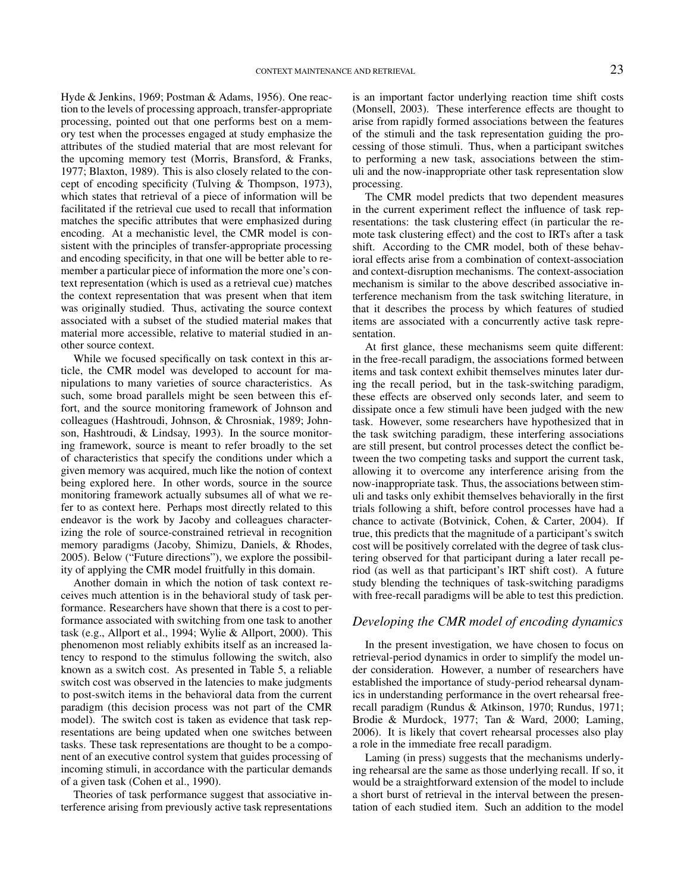Hyde & Jenkins, 1969; Postman & Adams, 1956). One reaction to the levels of processing approach, transfer-appropriate processing, pointed out that one performs best on a memory test when the processes engaged at study emphasize the attributes of the studied material that are most relevant for the upcoming memory test (Morris, Bransford, & Franks, 1977; Blaxton, 1989). This is also closely related to the concept of encoding specificity (Tulving & Thompson, 1973), which states that retrieval of a piece of information will be facilitated if the retrieval cue used to recall that information matches the specific attributes that were emphasized during encoding. At a mechanistic level, the CMR model is consistent with the principles of transfer-appropriate processing and encoding specificity, in that one will be better able to remember a particular piece of information the more one's context representation (which is used as a retrieval cue) matches the context representation that was present when that item was originally studied. Thus, activating the source context associated with a subset of the studied material makes that material more accessible, relative to material studied in another source context.

While we focused specifically on task context in this article, the CMR model was developed to account for manipulations to many varieties of source characteristics. As such, some broad parallels might be seen between this effort, and the source monitoring framework of Johnson and colleagues (Hashtroudi, Johnson, & Chrosniak, 1989; Johnson, Hashtroudi, & Lindsay, 1993). In the source monitoring framework, source is meant to refer broadly to the set of characteristics that specify the conditions under which a given memory was acquired, much like the notion of context being explored here. In other words, source in the source monitoring framework actually subsumes all of what we refer to as context here. Perhaps most directly related to this endeavor is the work by Jacoby and colleagues characterizing the role of source-constrained retrieval in recognition memory paradigms (Jacoby, Shimizu, Daniels, & Rhodes, 2005). Below ("Future directions"), we explore the possibility of applying the CMR model fruitfully in this domain.

Another domain in which the notion of task context receives much attention is in the behavioral study of task performance. Researchers have shown that there is a cost to performance associated with switching from one task to another task (e.g., Allport et al., 1994; Wylie & Allport, 2000). This phenomenon most reliably exhibits itself as an increased latency to respond to the stimulus following the switch, also known as a switch cost. As presented in Table 5, a reliable switch cost was observed in the latencies to make judgments to post-switch items in the behavioral data from the current paradigm (this decision process was not part of the CMR model). The switch cost is taken as evidence that task representations are being updated when one switches between tasks. These task representations are thought to be a component of an executive control system that guides processing of incoming stimuli, in accordance with the particular demands of a given task (Cohen et al., 1990).

Theories of task performance suggest that associative interference arising from previously active task representations is an important factor underlying reaction time shift costs (Monsell, 2003). These interference effects are thought to arise from rapidly formed associations between the features of the stimuli and the task representation guiding the processing of those stimuli. Thus, when a participant switches to performing a new task, associations between the stimuli and the now-inappropriate other task representation slow processing.

The CMR model predicts that two dependent measures in the current experiment reflect the influence of task representations: the task clustering effect (in particular the remote task clustering effect) and the cost to IRTs after a task shift. According to the CMR model, both of these behavioral effects arise from a combination of context-association and context-disruption mechanisms. The context-association mechanism is similar to the above described associative interference mechanism from the task switching literature, in that it describes the process by which features of studied items are associated with a concurrently active task representation.

At first glance, these mechanisms seem quite different: in the free-recall paradigm, the associations formed between items and task context exhibit themselves minutes later during the recall period, but in the task-switching paradigm, these effects are observed only seconds later, and seem to dissipate once a few stimuli have been judged with the new task. However, some researchers have hypothesized that in the task switching paradigm, these interfering associations are still present, but control processes detect the conflict between the two competing tasks and support the current task, allowing it to overcome any interference arising from the now-inappropriate task. Thus, the associations between stimuli and tasks only exhibit themselves behaviorally in the first trials following a shift, before control processes have had a chance to activate (Botvinick, Cohen, & Carter, 2004). If true, this predicts that the magnitude of a participant's switch cost will be positively correlated with the degree of task clustering observed for that participant during a later recall period (as well as that participant's IRT shift cost). A future study blending the techniques of task-switching paradigms with free-recall paradigms will be able to test this prediction.

#### *Developing the CMR model of encoding dynamics*

In the present investigation, we have chosen to focus on retrieval-period dynamics in order to simplify the model under consideration. However, a number of researchers have established the importance of study-period rehearsal dynamics in understanding performance in the overt rehearsal freerecall paradigm (Rundus & Atkinson, 1970; Rundus, 1971; Brodie & Murdock, 1977; Tan & Ward, 2000; Laming, 2006). It is likely that covert rehearsal processes also play a role in the immediate free recall paradigm.

Laming (in press) suggests that the mechanisms underlying rehearsal are the same as those underlying recall. If so, it would be a straightforward extension of the model to include a short burst of retrieval in the interval between the presentation of each studied item. Such an addition to the model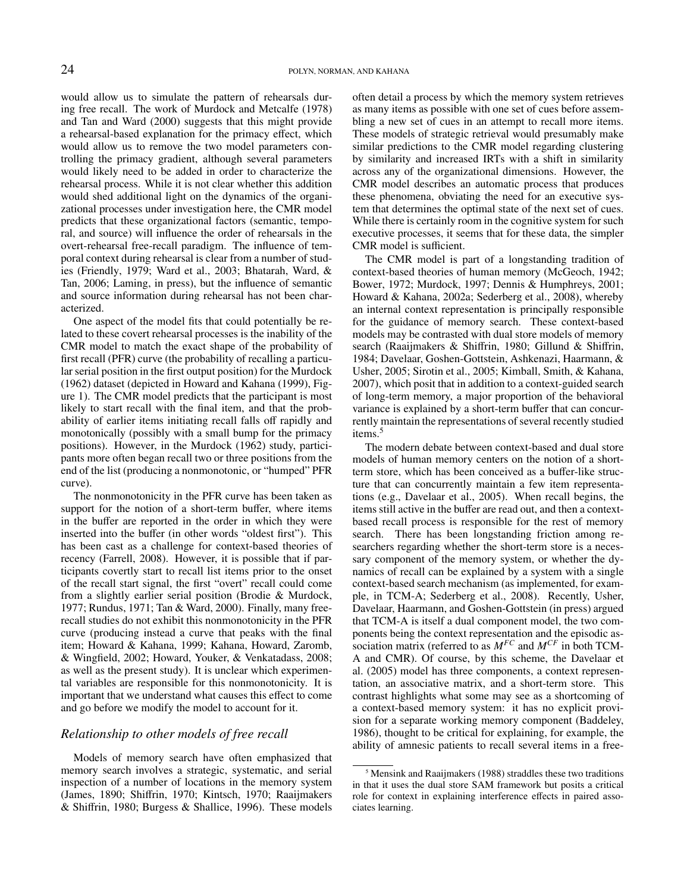would allow us to simulate the pattern of rehearsals during free recall. The work of Murdock and Metcalfe (1978) and Tan and Ward (2000) suggests that this might provide a rehearsal-based explanation for the primacy effect, which would allow us to remove the two model parameters controlling the primacy gradient, although several parameters would likely need to be added in order to characterize the rehearsal process. While it is not clear whether this addition would shed additional light on the dynamics of the organizational processes under investigation here, the CMR model predicts that these organizational factors (semantic, temporal, and source) will influence the order of rehearsals in the overt-rehearsal free-recall paradigm. The influence of temporal context during rehearsal is clear from a number of studies (Friendly, 1979; Ward et al., 2003; Bhatarah, Ward, & Tan, 2006; Laming, in press), but the influence of semantic and source information during rehearsal has not been characterized.

One aspect of the model fits that could potentially be related to these covert rehearsal processes is the inability of the CMR model to match the exact shape of the probability of first recall (PFR) curve (the probability of recalling a particular serial position in the first output position) for the Murdock (1962) dataset (depicted in Howard and Kahana (1999), Figure 1). The CMR model predicts that the participant is most likely to start recall with the final item, and that the probability of earlier items initiating recall falls off rapidly and monotonically (possibly with a small bump for the primacy positions). However, in the Murdock (1962) study, participants more often began recall two or three positions from the end of the list (producing a nonmonotonic, or "humped" PFR curve).

The nonmonotonicity in the PFR curve has been taken as support for the notion of a short-term buffer, where items in the buffer are reported in the order in which they were inserted into the buffer (in other words "oldest first"). This has been cast as a challenge for context-based theories of recency (Farrell, 2008). However, it is possible that if participants covertly start to recall list items prior to the onset of the recall start signal, the first "overt" recall could come from a slightly earlier serial position (Brodie & Murdock, 1977; Rundus, 1971; Tan & Ward, 2000). Finally, many freerecall studies do not exhibit this nonmonotonicity in the PFR curve (producing instead a curve that peaks with the final item; Howard & Kahana, 1999; Kahana, Howard, Zaromb, & Wingfield, 2002; Howard, Youker, & Venkatadass, 2008; as well as the present study). It is unclear which experimental variables are responsible for this nonmonotonicity. It is important that we understand what causes this effect to come and go before we modify the model to account for it.

#### *Relationship to other models of free recall*

Models of memory search have often emphasized that memory search involves a strategic, systematic, and serial inspection of a number of locations in the memory system (James, 1890; Shiffrin, 1970; Kintsch, 1970; Raaijmakers & Shiffrin, 1980; Burgess & Shallice, 1996). These models

often detail a process by which the memory system retrieves as many items as possible with one set of cues before assembling a new set of cues in an attempt to recall more items. These models of strategic retrieval would presumably make similar predictions to the CMR model regarding clustering by similarity and increased IRTs with a shift in similarity across any of the organizational dimensions. However, the CMR model describes an automatic process that produces these phenomena, obviating the need for an executive system that determines the optimal state of the next set of cues. While there is certainly room in the cognitive system for such executive processes, it seems that for these data, the simpler CMR model is sufficient.

The CMR model is part of a longstanding tradition of context-based theories of human memory (McGeoch, 1942; Bower, 1972; Murdock, 1997; Dennis & Humphreys, 2001; Howard & Kahana, 2002a; Sederberg et al., 2008), whereby an internal context representation is principally responsible for the guidance of memory search. These context-based models may be contrasted with dual store models of memory search (Raaijmakers & Shiffrin, 1980; Gillund & Shiffrin, 1984; Davelaar, Goshen-Gottstein, Ashkenazi, Haarmann, & Usher, 2005; Sirotin et al., 2005; Kimball, Smith, & Kahana, 2007), which posit that in addition to a context-guided search of long-term memory, a major proportion of the behavioral variance is explained by a short-term buffer that can concurrently maintain the representations of several recently studied items.<sup>5</sup>

The modern debate between context-based and dual store models of human memory centers on the notion of a shortterm store, which has been conceived as a buffer-like structure that can concurrently maintain a few item representations (e.g., Davelaar et al., 2005). When recall begins, the items still active in the buffer are read out, and then a contextbased recall process is responsible for the rest of memory search. There has been longstanding friction among researchers regarding whether the short-term store is a necessary component of the memory system, or whether the dynamics of recall can be explained by a system with a single context-based search mechanism (as implemented, for example, in TCM-A; Sederberg et al., 2008). Recently, Usher, Davelaar, Haarmann, and Goshen-Gottstein (in press) argued that TCM-A is itself a dual component model, the two components being the context representation and the episodic association matrix (referred to as  $M^{FC}$  and  $M^{CF}$  in both TCM-A and CMR). Of course, by this scheme, the Davelaar et al. (2005) model has three components, a context representation, an associative matrix, and a short-term store. This contrast highlights what some may see as a shortcoming of a context-based memory system: it has no explicit provision for a separate working memory component (Baddeley, 1986), thought to be critical for explaining, for example, the ability of amnesic patients to recall several items in a free-

<sup>5</sup> Mensink and Raaijmakers (1988) straddles these two traditions in that it uses the dual store SAM framework but posits a critical role for context in explaining interference effects in paired associates learning.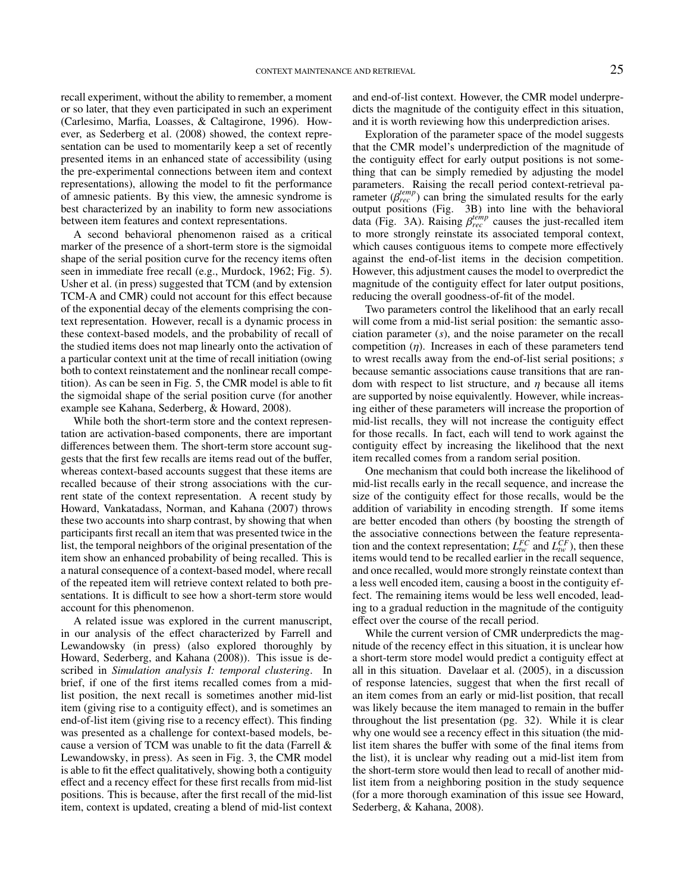recall experiment, without the ability to remember, a moment or so later, that they even participated in such an experiment (Carlesimo, Marfia, Loasses, & Caltagirone, 1996). However, as Sederberg et al. (2008) showed, the context representation can be used to momentarily keep a set of recently presented items in an enhanced state of accessibility (using the pre-experimental connections between item and context representations), allowing the model to fit the performance of amnesic patients. By this view, the amnesic syndrome is best characterized by an inability to form new associations between item features and context representations.

A second behavioral phenomenon raised as a critical marker of the presence of a short-term store is the sigmoidal shape of the serial position curve for the recency items often seen in immediate free recall (e.g., Murdock, 1962; Fig. 5). Usher et al. (in press) suggested that TCM (and by extension TCM-A and CMR) could not account for this effect because of the exponential decay of the elements comprising the context representation. However, recall is a dynamic process in these context-based models, and the probability of recall of the studied items does not map linearly onto the activation of a particular context unit at the time of recall initiation (owing both to context reinstatement and the nonlinear recall competition). As can be seen in Fig. 5, the CMR model is able to fit the sigmoidal shape of the serial position curve (for another example see Kahana, Sederberg, & Howard, 2008).

While both the short-term store and the context representation are activation-based components, there are important differences between them. The short-term store account suggests that the first few recalls are items read out of the buffer, whereas context-based accounts suggest that these items are recalled because of their strong associations with the current state of the context representation. A recent study by Howard, Vankatadass, Norman, and Kahana (2007) throws these two accounts into sharp contrast, by showing that when participants first recall an item that was presented twice in the list, the temporal neighbors of the original presentation of the item show an enhanced probability of being recalled. This is a natural consequence of a context-based model, where recall of the repeated item will retrieve context related to both presentations. It is difficult to see how a short-term store would account for this phenomenon.

A related issue was explored in the current manuscript, in our analysis of the effect characterized by Farrell and Lewandowsky (in press) (also explored thoroughly by Howard, Sederberg, and Kahana (2008)). This issue is described in *Simulation analysis I: temporal clustering*. In brief, if one of the first items recalled comes from a midlist position, the next recall is sometimes another mid-list item (giving rise to a contiguity effect), and is sometimes an end-of-list item (giving rise to a recency effect). This finding was presented as a challenge for context-based models, because a version of TCM was unable to fit the data (Farrell & Lewandowsky, in press). As seen in Fig. 3, the CMR model is able to fit the effect qualitatively, showing both a contiguity effect and a recency effect for these first recalls from mid-list positions. This is because, after the first recall of the mid-list item, context is updated, creating a blend of mid-list context

and end-of-list context. However, the CMR model underpredicts the magnitude of the contiguity effect in this situation, and it is worth reviewing how this underprediction arises.

Exploration of the parameter space of the model suggests that the CMR model's underprediction of the magnitude of the contiguity effect for early output positions is not something that can be simply remedied by adjusting the model parameters. Raising the recall period context-retrieval parameter ( $\beta_{rec}^{temp}$ ) can bring the simulated results for the early output positions (Fig. 3B) into line with the behavioral output positions (Fig. 3B) into line with the behavioral data (Fig. 3A). Raising *β<sup>temp</sup>* causes the just-recalled item<br>to more strongly reinstate its associated temporal context to more strongly reinstate its associated temporal context, which causes contiguous items to compete more effectively against the end-of-list items in the decision competition. However, this adjustment causes the model to overpredict the magnitude of the contiguity effect for later output positions, reducing the overall goodness-of-fit of the model.

Two parameters control the likelihood that an early recall will come from a mid-list serial position: the semantic association parameter (*s*), and the noise parameter on the recall competition  $(\eta)$ . Increases in each of these parameters tend to wrest recalls away from the end-of-list serial positions; *s* because semantic associations cause transitions that are random with respect to list structure, and  $\eta$  because all items are supported by noise equivalently. However, while increasing either of these parameters will increase the proportion of mid-list recalls, they will not increase the contiguity effect for those recalls. In fact, each will tend to work against the contiguity effect by increasing the likelihood that the next item recalled comes from a random serial position.

One mechanism that could both increase the likelihood of mid-list recalls early in the recall sequence, and increase the size of the contiguity effect for those recalls, would be the addition of variability in encoding strength. If some items are better encoded than others (by boosting the strength of the associative connections between the feature representation and the context representation;  $L_{tw}^{FC}$  and  $L_{tw}^{CF}$ ), then these items would tend to be recalled earlier in the recall sequence, and once recalled, would more strongly reinstate context than a less well encoded item, causing a boost in the contiguity effect. The remaining items would be less well encoded, leading to a gradual reduction in the magnitude of the contiguity effect over the course of the recall period.

While the current version of CMR underpredicts the magnitude of the recency effect in this situation, it is unclear how a short-term store model would predict a contiguity effect at all in this situation. Davelaar et al. (2005), in a discussion of response latencies, suggest that when the first recall of an item comes from an early or mid-list position, that recall was likely because the item managed to remain in the buffer throughout the list presentation (pg. 32). While it is clear why one would see a recency effect in this situation (the midlist item shares the buffer with some of the final items from the list), it is unclear why reading out a mid-list item from the short-term store would then lead to recall of another midlist item from a neighboring position in the study sequence (for a more thorough examination of this issue see Howard, Sederberg, & Kahana, 2008).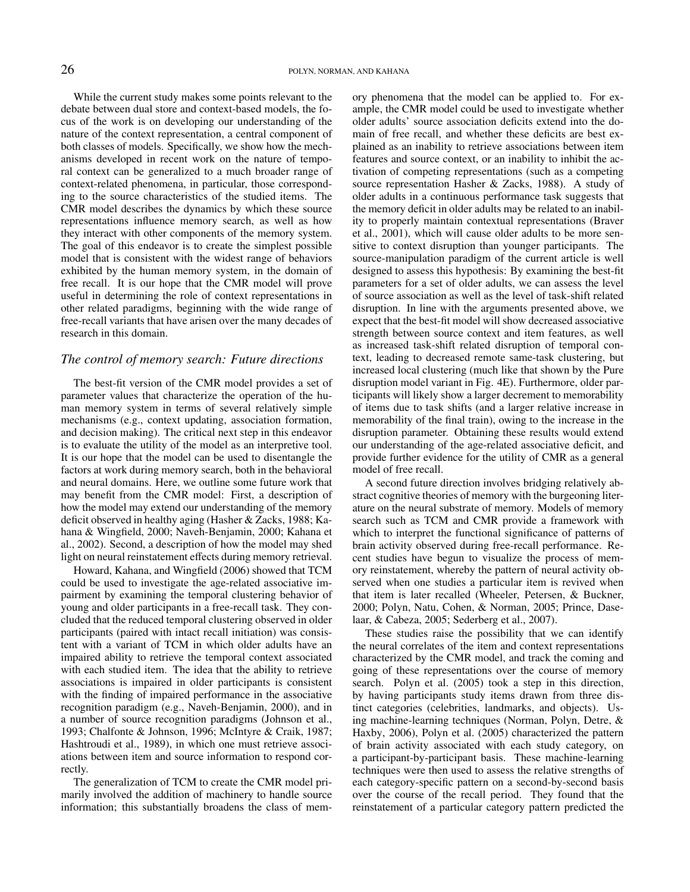While the current study makes some points relevant to the debate between dual store and context-based models, the focus of the work is on developing our understanding of the nature of the context representation, a central component of both classes of models. Specifically, we show how the mechanisms developed in recent work on the nature of temporal context can be generalized to a much broader range of context-related phenomena, in particular, those corresponding to the source characteristics of the studied items. The CMR model describes the dynamics by which these source representations influence memory search, as well as how they interact with other components of the memory system. The goal of this endeavor is to create the simplest possible model that is consistent with the widest range of behaviors exhibited by the human memory system, in the domain of free recall. It is our hope that the CMR model will prove useful in determining the role of context representations in other related paradigms, beginning with the wide range of free-recall variants that have arisen over the many decades of research in this domain.

# *The control of memory search: Future directions*

The best-fit version of the CMR model provides a set of parameter values that characterize the operation of the human memory system in terms of several relatively simple mechanisms (e.g., context updating, association formation, and decision making). The critical next step in this endeavor is to evaluate the utility of the model as an interpretive tool. It is our hope that the model can be used to disentangle the factors at work during memory search, both in the behavioral and neural domains. Here, we outline some future work that may benefit from the CMR model: First, a description of how the model may extend our understanding of the memory deficit observed in healthy aging (Hasher & Zacks, 1988; Kahana & Wingfield, 2000; Naveh-Benjamin, 2000; Kahana et al., 2002). Second, a description of how the model may shed light on neural reinstatement effects during memory retrieval.

Howard, Kahana, and Wingfield (2006) showed that TCM could be used to investigate the age-related associative impairment by examining the temporal clustering behavior of young and older participants in a free-recall task. They concluded that the reduced temporal clustering observed in older participants (paired with intact recall initiation) was consistent with a variant of TCM in which older adults have an impaired ability to retrieve the temporal context associated with each studied item. The idea that the ability to retrieve associations is impaired in older participants is consistent with the finding of impaired performance in the associative recognition paradigm (e.g., Naveh-Benjamin, 2000), and in a number of source recognition paradigms (Johnson et al., 1993; Chalfonte & Johnson, 1996; McIntyre & Craik, 1987; Hashtroudi et al., 1989), in which one must retrieve associations between item and source information to respond correctly.

The generalization of TCM to create the CMR model primarily involved the addition of machinery to handle source information; this substantially broadens the class of memory phenomena that the model can be applied to. For example, the CMR model could be used to investigate whether older adults' source association deficits extend into the domain of free recall, and whether these deficits are best explained as an inability to retrieve associations between item features and source context, or an inability to inhibit the activation of competing representations (such as a competing source representation Hasher & Zacks, 1988). A study of older adults in a continuous performance task suggests that the memory deficit in older adults may be related to an inability to properly maintain contextual representations (Braver et al., 2001), which will cause older adults to be more sensitive to context disruption than younger participants. The source-manipulation paradigm of the current article is well designed to assess this hypothesis: By examining the best-fit parameters for a set of older adults, we can assess the level of source association as well as the level of task-shift related disruption. In line with the arguments presented above, we expect that the best-fit model will show decreased associative strength between source context and item features, as well as increased task-shift related disruption of temporal context, leading to decreased remote same-task clustering, but increased local clustering (much like that shown by the Pure disruption model variant in Fig. 4E). Furthermore, older participants will likely show a larger decrement to memorability of items due to task shifts (and a larger relative increase in memorability of the final train), owing to the increase in the disruption parameter. Obtaining these results would extend our understanding of the age-related associative deficit, and provide further evidence for the utility of CMR as a general model of free recall.

A second future direction involves bridging relatively abstract cognitive theories of memory with the burgeoning literature on the neural substrate of memory. Models of memory search such as TCM and CMR provide a framework with which to interpret the functional significance of patterns of brain activity observed during free-recall performance. Recent studies have begun to visualize the process of memory reinstatement, whereby the pattern of neural activity observed when one studies a particular item is revived when that item is later recalled (Wheeler, Petersen, & Buckner, 2000; Polyn, Natu, Cohen, & Norman, 2005; Prince, Daselaar, & Cabeza, 2005; Sederberg et al., 2007).

These studies raise the possibility that we can identify the neural correlates of the item and context representations characterized by the CMR model, and track the coming and going of these representations over the course of memory search. Polyn et al. (2005) took a step in this direction, by having participants study items drawn from three distinct categories (celebrities, landmarks, and objects). Using machine-learning techniques (Norman, Polyn, Detre, & Haxby, 2006), Polyn et al. (2005) characterized the pattern of brain activity associated with each study category, on a participant-by-participant basis. These machine-learning techniques were then used to assess the relative strengths of each category-specific pattern on a second-by-second basis over the course of the recall period. They found that the reinstatement of a particular category pattern predicted the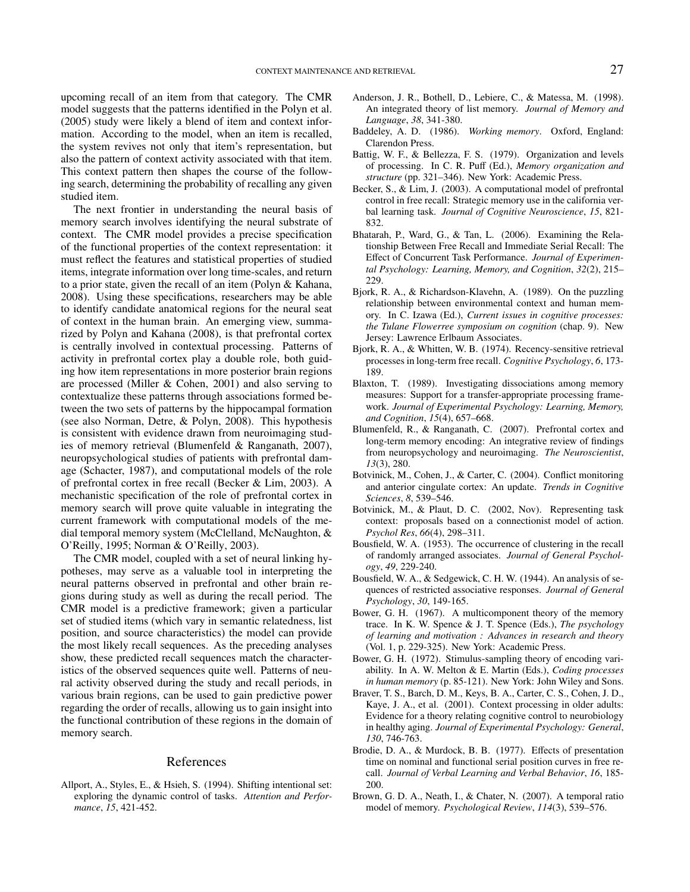upcoming recall of an item from that category. The CMR model suggests that the patterns identified in the Polyn et al. (2005) study were likely a blend of item and context information. According to the model, when an item is recalled, the system revives not only that item's representation, but also the pattern of context activity associated with that item. This context pattern then shapes the course of the following search, determining the probability of recalling any given studied item.

The next frontier in understanding the neural basis of memory search involves identifying the neural substrate of context. The CMR model provides a precise specification of the functional properties of the context representation: it must reflect the features and statistical properties of studied items, integrate information over long time-scales, and return to a prior state, given the recall of an item (Polyn & Kahana, 2008). Using these specifications, researchers may be able to identify candidate anatomical regions for the neural seat of context in the human brain. An emerging view, summarized by Polyn and Kahana (2008), is that prefrontal cortex is centrally involved in contextual processing. Patterns of activity in prefrontal cortex play a double role, both guiding how item representations in more posterior brain regions are processed (Miller & Cohen, 2001) and also serving to contextualize these patterns through associations formed between the two sets of patterns by the hippocampal formation (see also Norman, Detre, & Polyn, 2008). This hypothesis is consistent with evidence drawn from neuroimaging studies of memory retrieval (Blumenfeld & Ranganath, 2007), neuropsychological studies of patients with prefrontal damage (Schacter, 1987), and computational models of the role of prefrontal cortex in free recall (Becker & Lim, 2003). A mechanistic specification of the role of prefrontal cortex in memory search will prove quite valuable in integrating the current framework with computational models of the medial temporal memory system (McClelland, McNaughton, & O'Reilly, 1995; Norman & O'Reilly, 2003).

The CMR model, coupled with a set of neural linking hypotheses, may serve as a valuable tool in interpreting the neural patterns observed in prefrontal and other brain regions during study as well as during the recall period. The CMR model is a predictive framework; given a particular set of studied items (which vary in semantic relatedness, list position, and source characteristics) the model can provide the most likely recall sequences. As the preceding analyses show, these predicted recall sequences match the characteristics of the observed sequences quite well. Patterns of neural activity observed during the study and recall periods, in various brain regions, can be used to gain predictive power regarding the order of recalls, allowing us to gain insight into the functional contribution of these regions in the domain of memory search.

#### References

Allport, A., Styles, E., & Hsieh, S. (1994). Shifting intentional set: exploring the dynamic control of tasks. *Attention and Performance*, *15*, 421-452.

- Anderson, J. R., Bothell, D., Lebiere, C., & Matessa, M. (1998). An integrated theory of list memory. *Journal of Memory and Language*, *38*, 341-380.
- Baddeley, A. D. (1986). *Working memory*. Oxford, England: Clarendon Press.
- Battig, W. F., & Bellezza, F. S. (1979). Organization and levels of processing. In C. R. Puff (Ed.), *Memory organization and structure* (pp. 321–346). New York: Academic Press.
- Becker, S., & Lim, J. (2003). A computational model of prefrontal control in free recall: Strategic memory use in the california verbal learning task. *Journal of Cognitive Neuroscience*, *15*, 821- 832.
- Bhatarah, P., Ward, G., & Tan, L. (2006). Examining the Relationship Between Free Recall and Immediate Serial Recall: The Effect of Concurrent Task Performance. *Journal of Experimental Psychology: Learning, Memory, and Cognition*, *32*(2), 215– 229.
- Bjork, R. A., & Richardson-Klavehn, A. (1989). On the puzzling relationship between environmental context and human memory. In C. Izawa (Ed.), *Current issues in cognitive processes: the Tulane Flowerree symposium on cognition* (chap. 9). New Jersey: Lawrence Erlbaum Associates.
- Bjork, R. A., & Whitten, W. B. (1974). Recency-sensitive retrieval processes in long-term free recall. *Cognitive Psychology*, *6*, 173- 189.
- Blaxton, T. (1989). Investigating dissociations among memory measures: Support for a transfer-appropriate processing framework. *Journal of Experimental Psychology: Learning, Memory, and Cognition*, *15*(4), 657–668.
- Blumenfeld, R., & Ranganath, C. (2007). Prefrontal cortex and long-term memory encoding: An integrative review of findings from neuropsychology and neuroimaging. *The Neuroscientist*, *13*(3), 280.
- Botvinick, M., Cohen, J., & Carter, C. (2004). Conflict monitoring and anterior cingulate cortex: An update. *Trends in Cognitive Sciences*, *8*, 539–546.
- Botvinick, M., & Plaut, D. C. (2002, Nov). Representing task context: proposals based on a connectionist model of action. *Psychol Res*, *66*(4), 298–311.
- Bousfield, W. A. (1953). The occurrence of clustering in the recall of randomly arranged associates. *Journal of General Psychology*, *49*, 229-240.
- Bousfield, W. A., & Sedgewick, C. H. W. (1944). An analysis of sequences of restricted associative responses. *Journal of General Psychology*, *30*, 149-165.
- Bower, G. H. (1967). A multicomponent theory of the memory trace. In K. W. Spence & J. T. Spence (Eds.), *The psychology of learning and motivation : Advances in research and theory* (Vol. 1, p. 229-325). New York: Academic Press.
- Bower, G. H. (1972). Stimulus-sampling theory of encoding variability. In A. W. Melton & E. Martin (Eds.), *Coding processes in human memory* (p. 85-121). New York: John Wiley and Sons.
- Braver, T. S., Barch, D. M., Keys, B. A., Carter, C. S., Cohen, J. D., Kaye, J. A., et al. (2001). Context processing in older adults: Evidence for a theory relating cognitive control to neurobiology in healthy aging. *Journal of Experimental Psychology: General*, *130*, 746-763.
- Brodie, D. A., & Murdock, B. B. (1977). Effects of presentation time on nominal and functional serial position curves in free recall. *Journal of Verbal Learning and Verbal Behavior*, *16*, 185- 200.
- Brown, G. D. A., Neath, I., & Chater, N. (2007). A temporal ratio model of memory. *Psychological Review*, *114*(3), 539–576.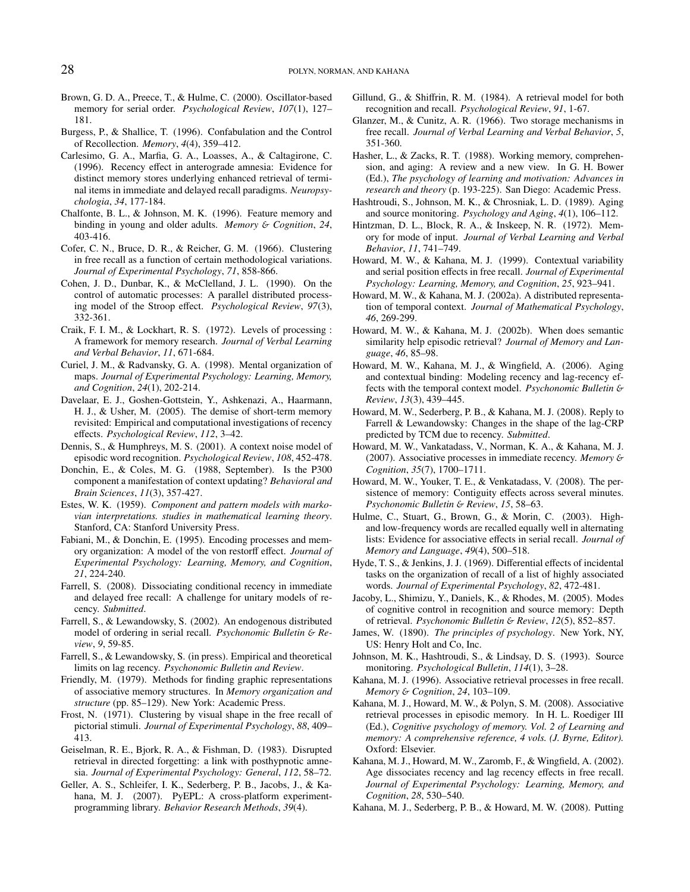- Brown, G. D. A., Preece, T., & Hulme, C. (2000). Oscillator-based memory for serial order. *Psychological Review*, *107*(1), 127– 181.
- Burgess, P., & Shallice, T. (1996). Confabulation and the Control of Recollection. *Memory*, *4*(4), 359–412.
- Carlesimo, G. A., Marfia, G. A., Loasses, A., & Caltagirone, C. (1996). Recency effect in anterograde amnesia: Evidence for distinct memory stores underlying enhanced retrieval of terminal items in immediate and delayed recall paradigms. *Neuropsychologia*, *34*, 177-184.
- Chalfonte, B. L., & Johnson, M. K. (1996). Feature memory and binding in young and older adults. *Memory* & *Cognition*, *24*, 403-416.
- Cofer, C. N., Bruce, D. R., & Reicher, G. M. (1966). Clustering in free recall as a function of certain methodological variations. *Journal of Experimental Psychology*, *71*, 858-866.
- Cohen, J. D., Dunbar, K., & McClelland, J. L. (1990). On the control of automatic processes: A parallel distributed processing model of the Stroop effect. *Psychological Review*, *97*(3), 332-361.
- Craik, F. I. M., & Lockhart, R. S. (1972). Levels of processing : A framework for memory research. *Journal of Verbal Learning and Verbal Behavior*, *11*, 671-684.
- Curiel, J. M., & Radvansky, G. A. (1998). Mental organization of maps. *Journal of Experimental Psychology: Learning, Memory, and Cognition*, *24*(1), 202-214.
- Davelaar, E. J., Goshen-Gottstein, Y., Ashkenazi, A., Haarmann, H. J., & Usher, M. (2005). The demise of short-term memory revisited: Empirical and computational investigations of recency effects. *Psychological Review*, *112*, 3–42.
- Dennis, S., & Humphreys, M. S. (2001). A context noise model of episodic word recognition. *Psychological Review*, *108*, 452-478.
- Donchin, E., & Coles, M. G. (1988, September). Is the P300 component a manifestation of context updating? *Behavioral and Brain Sciences*, *11*(3), 357-427.
- Estes, W. K. (1959). *Component and pattern models with markovian interpretations. studies in mathematical learning theory*. Stanford, CA: Stanford University Press.
- Fabiani, M., & Donchin, E. (1995). Encoding processes and memory organization: A model of the von restorff effect. *Journal of Experimental Psychology: Learning, Memory, and Cognition*, *21*, 224-240.
- Farrell, S. (2008). Dissociating conditional recency in immediate and delayed free recall: A challenge for unitary models of recency. *Submitted*.
- Farrell, S., & Lewandowsky, S. (2002). An endogenous distributed model of ordering in serial recall. *Psychonomic Bulletin* & *Review*, *9*, 59-85.
- Farrell, S., & Lewandowsky, S. (in press). Empirical and theoretical limits on lag recency. *Psychonomic Bulletin and Review*.
- Friendly, M. (1979). Methods for finding graphic representations of associative memory structures. In *Memory organization and structure* (pp. 85–129). New York: Academic Press.
- Frost, N. (1971). Clustering by visual shape in the free recall of pictorial stimuli. *Journal of Experimental Psychology*, *88*, 409– 413.
- Geiselman, R. E., Bjork, R. A., & Fishman, D. (1983). Disrupted retrieval in directed forgetting: a link with posthypnotic amnesia. *Journal of Experimental Psychology: General*, *112*, 58–72.
- Geller, A. S., Schleifer, I. K., Sederberg, P. B., Jacobs, J., & Kahana, M. J. (2007). PyEPL: A cross-platform experimentprogramming library. *Behavior Research Methods*, *39*(4).
- Gillund, G., & Shiffrin, R. M. (1984). A retrieval model for both recognition and recall. *Psychological Review*, *91*, 1-67.
- Glanzer, M., & Cunitz, A. R. (1966). Two storage mechanisms in free recall. *Journal of Verbal Learning and Verbal Behavior*, *5*, 351-360.
- Hasher, L., & Zacks, R. T. (1988). Working memory, comprehension, and aging: A review and a new view. In G. H. Bower (Ed.), *The psychology of learning and motivation: Advances in research and theory* (p. 193-225). San Diego: Academic Press.
- Hashtroudi, S., Johnson, M. K., & Chrosniak, L. D. (1989). Aging and source monitoring. *Psychology and Aging*, *4*(1), 106–112.
- Hintzman, D. L., Block, R. A., & Inskeep, N. R. (1972). Memory for mode of input. *Journal of Verbal Learning and Verbal Behavior*, *11*, 741–749.
- Howard, M. W., & Kahana, M. J. (1999). Contextual variability and serial position effects in free recall. *Journal of Experimental Psychology: Learning, Memory, and Cognition*, *25*, 923–941.
- Howard, M. W., & Kahana, M. J. (2002a). A distributed representation of temporal context. *Journal of Mathematical Psychology*, *46*, 269-299.
- Howard, M. W., & Kahana, M. J. (2002b). When does semantic similarity help episodic retrieval? *Journal of Memory and Language*, *46*, 85–98.
- Howard, M. W., Kahana, M. J., & Wingfield, A. (2006). Aging and contextual binding: Modeling recency and lag-recency effects with the temporal context model. *Psychonomic Bulletin* & *Review*, *13*(3), 439–445.
- Howard, M. W., Sederberg, P. B., & Kahana, M. J. (2008). Reply to Farrell & Lewandowsky: Changes in the shape of the lag-CRP predicted by TCM due to recency. *Submitted*.
- Howard, M. W., Vankatadass, V., Norman, K. A., & Kahana, M. J. (2007). Associative processes in immediate recency. *Memory* & *Cognition*, *35*(7), 1700–1711.
- Howard, M. W., Youker, T. E., & Venkatadass, V. (2008). The persistence of memory: Contiguity effects across several minutes. *Psychonomic Bulletin* & *Review*, *15*, 58–63.
- Hulme, C., Stuart, G., Brown, G., & Morin, C. (2003). Highand low-frequency words are recalled equally well in alternating lists: Evidence for associative effects in serial recall. *Journal of Memory and Language*, *49*(4), 500–518.
- Hyde, T. S., & Jenkins, J. J. (1969). Differential effects of incidental tasks on the organization of recall of a list of highly associated words. *Journal of Experimental Psychology*, *82*, 472-481.
- Jacoby, L., Shimizu, Y., Daniels, K., & Rhodes, M. (2005). Modes of cognitive control in recognition and source memory: Depth of retrieval. *Psychonomic Bulletin* & *Review*, *12*(5), 852–857.
- James, W. (1890). *The principles of psychology*. New York, NY, US: Henry Holt and Co, Inc.
- Johnson, M. K., Hashtroudi, S., & Lindsay, D. S. (1993). Source monitoring. *Psychological Bulletin*, *114*(1), 3–28.
- Kahana, M. J. (1996). Associative retrieval processes in free recall. *Memory* & *Cognition*, *24*, 103–109.
- Kahana, M. J., Howard, M. W., & Polyn, S. M. (2008). Associative retrieval processes in episodic memory. In H. L. Roediger III (Ed.), *Cognitive psychology of memory. Vol. 2 of Learning and memory: A comprehensive reference, 4 vols. (J. Byrne, Editor).* Oxford: Elsevier.
- Kahana, M. J., Howard, M. W., Zaromb, F., & Wingfield, A. (2002). Age dissociates recency and lag recency effects in free recall. *Journal of Experimental Psychology: Learning, Memory, and Cognition*, *28*, 530–540.
- Kahana, M. J., Sederberg, P. B., & Howard, M. W. (2008). Putting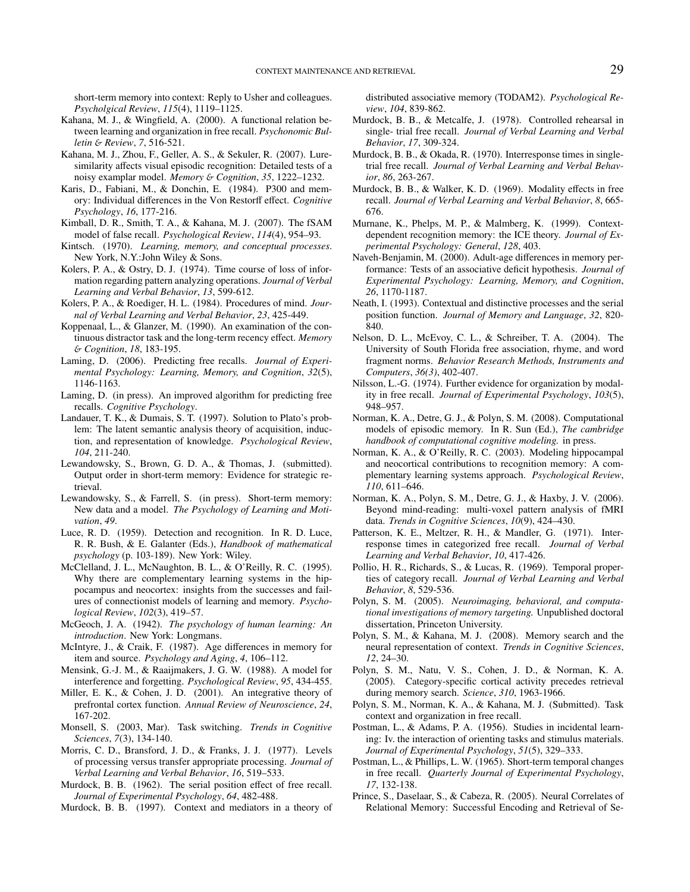short-term memory into context: Reply to Usher and colleagues. *Psycholgical Review*, *115*(4), 1119–1125.

- Kahana, M. J., & Wingfield, A. (2000). A functional relation between learning and organization in free recall. *Psychonomic Bulletin* & *Review*, *7*, 516-521.
- Kahana, M. J., Zhou, F., Geller, A. S., & Sekuler, R. (2007). Luresimilarity affects visual episodic recognition: Detailed tests of a noisy examplar model. *Memory* & *Cognition*, *35*, 1222–1232.
- Karis, D., Fabiani, M., & Donchin, E. (1984). P300 and memory: Individual differences in the Von Restorff effect. *Cognitive Psychology*, *16*, 177-216.
- Kimball, D. R., Smith, T. A., & Kahana, M. J. (2007). The fSAM model of false recall. *Psychological Review*, *114*(4), 954–93.
- Kintsch. (1970). *Learning, memory, and conceptual processes*. New York, N.Y.:John Wiley & Sons.
- Kolers, P. A., & Ostry, D. J. (1974). Time course of loss of information regarding pattern analyzing operations. *Journal of Verbal Learning and Verbal Behavior*, *13*, 599-612.
- Kolers, P. A., & Roediger, H. L. (1984). Procedures of mind. *Journal of Verbal Learning and Verbal Behavior*, *23*, 425-449.
- Koppenaal, L., & Glanzer, M. (1990). An examination of the continuous distractor task and the long-term recency effect. *Memory* & *Cognition*, *18*, 183-195.
- Laming, D. (2006). Predicting free recalls. *Journal of Experimental Psychology: Learning, Memory, and Cognition*, *32*(5), 1146-1163.
- Laming, D. (in press). An improved algorithm for predicting free recalls. *Cognitive Psychology*.
- Landauer, T. K., & Dumais, S. T. (1997). Solution to Plato's problem: The latent semantic analysis theory of acquisition, induction, and representation of knowledge. *Psychological Review*, *104*, 211-240.
- Lewandowsky, S., Brown, G. D. A., & Thomas, J. (submitted). Output order in short-term memory: Evidence for strategic retrieval.
- Lewandowsky, S., & Farrell, S. (in press). Short-term memory: New data and a model. *The Psychology of Learning and Motivation*, *49*.
- Luce, R. D. (1959). Detection and recognition. In R. D. Luce, R. R. Bush, & E. Galanter (Eds.), *Handbook of mathematical psychology* (p. 103-189). New York: Wiley.
- McClelland, J. L., McNaughton, B. L., & O'Reilly, R. C. (1995). Why there are complementary learning systems in the hippocampus and neocortex: insights from the successes and failures of connectionist models of learning and memory. *Psychological Review*, *102*(3), 419–57.
- McGeoch, J. A. (1942). *The psychology of human learning: An introduction*. New York: Longmans.
- McIntyre, J., & Craik, F. (1987). Age differences in memory for item and source. *Psychology and Aging*, *4*, 106–112.
- Mensink, G.-J. M., & Raaijmakers, J. G. W. (1988). A model for interference and forgetting. *Psychological Review*, *95*, 434-455.
- Miller, E. K., & Cohen, J. D. (2001). An integrative theory of prefrontal cortex function. *Annual Review of Neuroscience*, *24*, 167-202.
- Monsell, S. (2003, Mar). Task switching. *Trends in Cognitive Sciences*, *7*(3), 134-140.
- Morris, C. D., Bransford, J. D., & Franks, J. J. (1977). Levels of processing versus transfer appropriate processing. *Journal of Verbal Learning and Verbal Behavior*, *16*, 519–533.
- Murdock, B. B. (1962). The serial position effect of free recall. *Journal of Experimental Psychology*, *64*, 482-488.
- Murdock, B. B. (1997). Context and mediators in a theory of

distributed associative memory (TODAM2). *Psychological Review*, *104*, 839-862.

- Murdock, B. B., & Metcalfe, J. (1978). Controlled rehearsal in single- trial free recall. *Journal of Verbal Learning and Verbal Behavior*, *17*, 309-324.
- Murdock, B. B., & Okada, R. (1970). Interresponse times in singletrial free recall. *Journal of Verbal Learning and Verbal Behavior*, *86*, 263-267.
- Murdock, B. B., & Walker, K. D. (1969). Modality effects in free recall. *Journal of Verbal Learning and Verbal Behavior*, *8*, 665- 676.
- Murnane, K., Phelps, M. P., & Malmberg, K. (1999). Contextdependent recognition memory: the ICE theory. *Journal of Experimental Psychology: General*, *128*, 403.
- Naveh-Benjamin, M. (2000). Adult-age differences in memory performance: Tests of an associative deficit hypothesis. *Journal of Experimental Psychology: Learning, Memory, and Cognition*, *26*, 1170-1187.
- Neath, I. (1993). Contextual and distinctive processes and the serial position function. *Journal of Memory and Language*, *32*, 820- 840.
- Nelson, D. L., McEvoy, C. L., & Schreiber, T. A. (2004). The University of South Florida free association, rhyme, and word fragment norms. *Behavior Research Methods, Instruments and Computers*, *36(3)*, 402-407.
- Nilsson, L.-G. (1974). Further evidence for organization by modality in free recall. *Journal of Experimental Psychology*, *103*(5), 948–957.
- Norman, K. A., Detre, G. J., & Polyn, S. M. (2008). Computational models of episodic memory. In R. Sun (Ed.), *The cambridge handbook of computational cognitive modeling.* in press.
- Norman, K. A., & O'Reilly, R. C. (2003). Modeling hippocampal and neocortical contributions to recognition memory: A complementary learning systems approach. *Psychological Review*, *110*, 611–646.
- Norman, K. A., Polyn, S. M., Detre, G. J., & Haxby, J. V. (2006). Beyond mind-reading: multi-voxel pattern analysis of fMRI data. *Trends in Cognitive Sciences*, *10*(9), 424–430.
- Patterson, K. E., Meltzer, R. H., & Mandler, G. (1971). Interresponse times in categorized free recall. *Journal of Verbal Learning and Verbal Behavior*, *10*, 417-426.
- Pollio, H. R., Richards, S., & Lucas, R. (1969). Temporal properties of category recall. *Journal of Verbal Learning and Verbal Behavior*, *8*, 529-536.
- Polyn, S. M. (2005). *Neuroimaging, behavioral, and computational investigations of memory targeting.* Unpublished doctoral dissertation, Princeton University.
- Polyn, S. M., & Kahana, M. J. (2008). Memory search and the neural representation of context. *Trends in Cognitive Sciences*, *12*, 24–30.
- Polyn, S. M., Natu, V. S., Cohen, J. D., & Norman, K. A. (2005). Category-specific cortical activity precedes retrieval during memory search. *Science*, *310*, 1963-1966.
- Polyn, S. M., Norman, K. A., & Kahana, M. J. (Submitted). Task context and organization in free recall.
- Postman, L., & Adams, P. A. (1956). Studies in incidental learning: Iv. the interaction of orienting tasks and stimulus materials. *Journal of Experimental Psychology*, *51*(5), 329–333.
- Postman, L., & Phillips, L. W. (1965). Short-term temporal changes in free recall. *Quarterly Journal of Experimental Psychology*, *17*, 132-138.
- Prince, S., Daselaar, S., & Cabeza, R. (2005). Neural Correlates of Relational Memory: Successful Encoding and Retrieval of Se-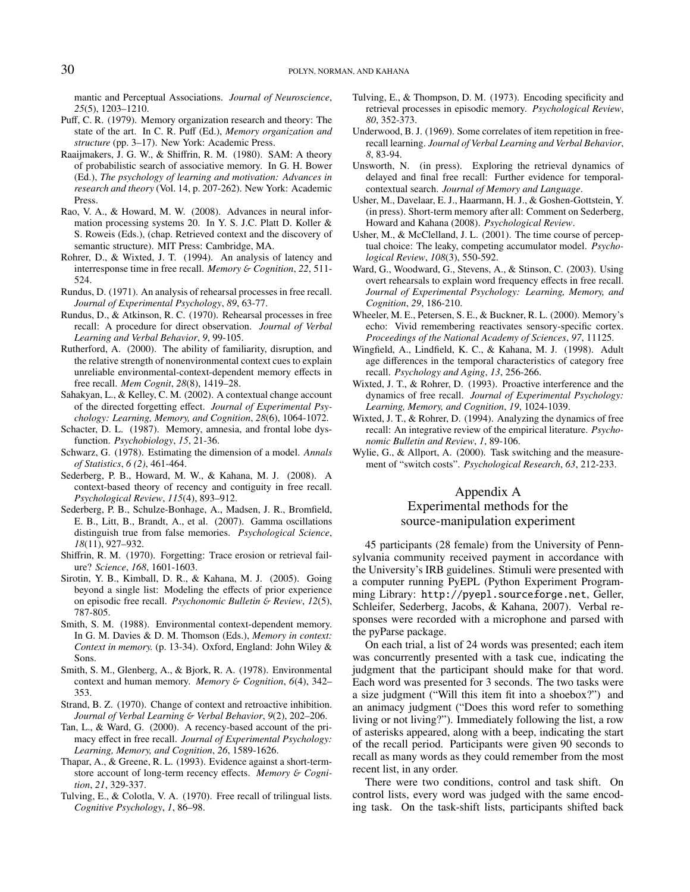mantic and Perceptual Associations. *Journal of Neuroscience*, *25*(5), 1203–1210.

- Puff, C. R. (1979). Memory organization research and theory: The state of the art. In C. R. Puff (Ed.), *Memory organization and structure* (pp. 3–17). New York: Academic Press.
- Raaijmakers, J. G. W., & Shiffrin, R. M. (1980). SAM: A theory of probabilistic search of associative memory. In G. H. Bower (Ed.), *The psychology of learning and motivation: Advances in research and theory* (Vol. 14, p. 207-262). New York: Academic Press.
- Rao, V. A., & Howard, M. W. (2008). Advances in neural information processing systems 20. In Y. S. J.C. Platt D. Koller & S. Roweis (Eds.), (chap. Retrieved context and the discovery of semantic structure). MIT Press: Cambridge, MA.
- Rohrer, D., & Wixted, J. T. (1994). An analysis of latency and interresponse time in free recall. *Memory* & *Cognition*, *22*, 511- 524.
- Rundus, D. (1971). An analysis of rehearsal processes in free recall. *Journal of Experimental Psychology*, *89*, 63-77.
- Rundus, D., & Atkinson, R. C. (1970). Rehearsal processes in free recall: A procedure for direct observation. *Journal of Verbal Learning and Verbal Behavior*, *9*, 99-105.
- Rutherford, A. (2000). The ability of familiarity, disruption, and the relative strength of nonenvironmental context cues to explain unreliable environmental-context-dependent memory effects in free recall. *Mem Cognit*, *28*(8), 1419–28.
- Sahakyan, L., & Kelley, C. M. (2002). A contextual change account of the directed forgetting effect. *Journal of Experimental Psychology: Learning, Memory, and Cognition*, *28*(6), 1064-1072.
- Schacter, D. L. (1987). Memory, amnesia, and frontal lobe dysfunction. *Psychobiology*, *15*, 21-36.
- Schwarz, G. (1978). Estimating the dimension of a model. *Annals of Statistics*, *6 (2)*, 461-464.
- Sederberg, P. B., Howard, M. W., & Kahana, M. J. (2008). A context-based theory of recency and contiguity in free recall. *Psychological Review*, *115*(4), 893–912.
- Sederberg, P. B., Schulze-Bonhage, A., Madsen, J. R., Bromfield, E. B., Litt, B., Brandt, A., et al. (2007). Gamma oscillations distinguish true from false memories. *Psychological Science*, *18*(11), 927–932.
- Shiffrin, R. M. (1970). Forgetting: Trace erosion or retrieval failure? *Science*, *168*, 1601-1603.
- Sirotin, Y. B., Kimball, D. R., & Kahana, M. J. (2005). Going beyond a single list: Modeling the effects of prior experience on episodic free recall. *Psychonomic Bulletin* & *Review*, *12*(5), 787-805.
- Smith, S. M. (1988). Environmental context-dependent memory. In G. M. Davies & D. M. Thomson (Eds.), *Memory in context: Context in memory.* (p. 13-34). Oxford, England: John Wiley & Sons.
- Smith, S. M., Glenberg, A., & Bjork, R. A. (1978). Environmental context and human memory. *Memory* & *Cognition*, *6*(4), 342– 353.
- Strand, B. Z. (1970). Change of context and retroactive inhibition. *Journal of Verbal Learning* & *Verbal Behavior*, *9*(2), 202–206.
- Tan, L., & Ward, G. (2000). A recency-based account of the primacy effect in free recall. *Journal of Experimental Psychology: Learning, Memory, and Cognition*, *26*, 1589-1626.
- Thapar, A., & Greene, R. L. (1993). Evidence against a short-termstore account of long-term recency effects. Memory & Cogni*tion*, *21*, 329-337.
- Tulving, E., & Colotla, V. A. (1970). Free recall of trilingual lists. *Cognitive Psychology*, *1*, 86–98.
- Tulving, E., & Thompson, D. M. (1973). Encoding specificity and retrieval processes in episodic memory. *Psychological Review*, *80*, 352-373.
- Underwood, B. J. (1969). Some correlates of item repetition in freerecall learning. *Journal of Verbal Learning and Verbal Behavior*, *8*, 83-94.
- Unsworth, N. (in press). Exploring the retrieval dynamics of delayed and final free recall: Further evidence for temporalcontextual search. *Journal of Memory and Language*.
- Usher, M., Davelaar, E. J., Haarmann, H. J., & Goshen-Gottstein, Y. (in press). Short-term memory after all: Comment on Sederberg, Howard and Kahana (2008). *Psychological Review*.
- Usher, M., & McClelland, J. L. (2001). The time course of perceptual choice: The leaky, competing accumulator model. *Psychological Review*, *108*(3), 550-592.
- Ward, G., Woodward, G., Stevens, A., & Stinson, C. (2003). Using overt rehearsals to explain word frequency effects in free recall. *Journal of Experimental Psychology: Learning, Memory, and Cognition*, *29*, 186-210.
- Wheeler, M. E., Petersen, S. E., & Buckner, R. L. (2000). Memory's echo: Vivid remembering reactivates sensory-specific cortex. *Proceedings of the National Academy of Sciences*, *97*, 11125.
- Wingfield, A., Lindfield, K. C., & Kahana, M. J. (1998). Adult age differences in the temporal characteristics of category free recall. *Psychology and Aging*, *13*, 256-266.
- Wixted, J. T., & Rohrer, D. (1993). Proactive interference and the dynamics of free recall. *Journal of Experimental Psychology: Learning, Memory, and Cognition*, *19*, 1024-1039.
- Wixted, J. T., & Rohrer, D. (1994). Analyzing the dynamics of free recall: An integrative review of the empirical literature. *Psychonomic Bulletin and Review*, *1*, 89-106.
- Wylie, G., & Allport, A. (2000). Task switching and the measurement of "switch costs". *Psychological Research*, *63*, 212-233.

# Appendix A

# Experimental methods for the source-manipulation experiment

45 participants (28 female) from the University of Pennsylvania community received payment in accordance with the University's IRB guidelines. Stimuli were presented with a computer running PyEPL (Python Experiment Programming Library: http://pyepl.sourceforge.net, Geller, Schleifer, Sederberg, Jacobs, & Kahana, 2007). Verbal responses were recorded with a microphone and parsed with the pyParse package.

On each trial, a list of 24 words was presented; each item was concurrently presented with a task cue, indicating the judgment that the participant should make for that word. Each word was presented for 3 seconds. The two tasks were a size judgment ("Will this item fit into a shoebox?") and an animacy judgment ("Does this word refer to something living or not living?"). Immediately following the list, a row of asterisks appeared, along with a beep, indicating the start of the recall period. Participants were given 90 seconds to recall as many words as they could remember from the most recent list, in any order.

There were two conditions, control and task shift. On control lists, every word was judged with the same encoding task. On the task-shift lists, participants shifted back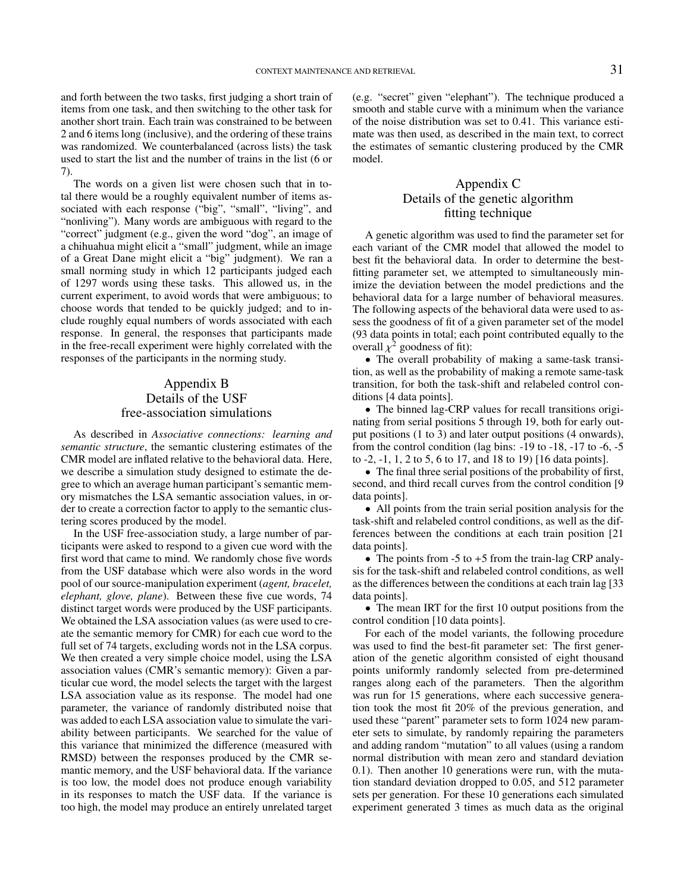and forth between the two tasks, first judging a short train of items from one task, and then switching to the other task for another short train. Each train was constrained to be between 2 and 6 items long (inclusive), and the ordering of these trains was randomized. We counterbalanced (across lists) the task used to start the list and the number of trains in the list (6 or 7).

The words on a given list were chosen such that in total there would be a roughly equivalent number of items associated with each response ("big", "small", "living", and "nonliving"). Many words are ambiguous with regard to the "correct" judgment (e.g., given the word "dog", an image of a chihuahua might elicit a "small" judgment, while an image of a Great Dane might elicit a "big" judgment). We ran a small norming study in which 12 participants judged each of 1297 words using these tasks. This allowed us, in the current experiment, to avoid words that were ambiguous; to choose words that tended to be quickly judged; and to include roughly equal numbers of words associated with each response. In general, the responses that participants made in the free-recall experiment were highly correlated with the responses of the participants in the norming study.

# Appendix B Details of the USF free-association simulations

As described in *Associative connections: learning and semantic structure*, the semantic clustering estimates of the CMR model are inflated relative to the behavioral data. Here, we describe a simulation study designed to estimate the degree to which an average human participant's semantic memory mismatches the LSA semantic association values, in order to create a correction factor to apply to the semantic clustering scores produced by the model.

In the USF free-association study, a large number of participants were asked to respond to a given cue word with the first word that came to mind. We randomly chose five words from the USF database which were also words in the word pool of our source-manipulation experiment (*agent, bracelet, elephant, glove, plane*). Between these five cue words, 74 distinct target words were produced by the USF participants. We obtained the LSA association values (as were used to create the semantic memory for CMR) for each cue word to the full set of 74 targets, excluding words not in the LSA corpus. We then created a very simple choice model, using the LSA association values (CMR's semantic memory): Given a particular cue word, the model selects the target with the largest LSA association value as its response. The model had one parameter, the variance of randomly distributed noise that was added to each LSA association value to simulate the variability between participants. We searched for the value of this variance that minimized the difference (measured with RMSD) between the responses produced by the CMR semantic memory, and the USF behavioral data. If the variance is too low, the model does not produce enough variability in its responses to match the USF data. If the variance is too high, the model may produce an entirely unrelated target (e.g. "secret" given "elephant"). The technique produced a smooth and stable curve with a minimum when the variance of the noise distribution was set to 0.41. This variance estimate was then used, as described in the main text, to correct the estimates of semantic clustering produced by the CMR model.

# Appendix C Details of the genetic algorithm fitting technique

A genetic algorithm was used to find the parameter set for each variant of the CMR model that allowed the model to best fit the behavioral data. In order to determine the bestfitting parameter set, we attempted to simultaneously minimize the deviation between the model predictions and the behavioral data for a large number of behavioral measures. The following aspects of the behavioral data were used to assess the goodness of fit of a given parameter set of the model (93 data points in total; each point contributed equally to the overall  $\chi^2$  goodness of fit):<br>• The overall probabili

• The overall probability of making a same-task transition, as well as the probability of making a remote same-task transition, for both the task-shift and relabeled control conditions [4 data points].

• The binned lag-CRP values for recall transitions originating from serial positions 5 through 19, both for early output positions (1 to 3) and later output positions (4 onwards), from the control condition (lag bins: -19 to -18, -17 to -6, -5 to -2, -1, 1, 2 to 5, 6 to 17, and 18 to 19) [16 data points].

• The final three serial positions of the probability of first, second, and third recall curves from the control condition [9 data points].

• All points from the train serial position analysis for the task-shift and relabeled control conditions, as well as the differences between the conditions at each train position [21 data points].

• The points from  $-5$  to  $+5$  from the train-lag CRP analysis for the task-shift and relabeled control conditions, as well as the differences between the conditions at each train lag [33 data points].

• The mean IRT for the first 10 output positions from the control condition [10 data points].

For each of the model variants, the following procedure was used to find the best-fit parameter set: The first generation of the genetic algorithm consisted of eight thousand points uniformly randomly selected from pre-determined ranges along each of the parameters. Then the algorithm was run for 15 generations, where each successive generation took the most fit 20% of the previous generation, and used these "parent" parameter sets to form 1024 new parameter sets to simulate, by randomly repairing the parameters and adding random "mutation" to all values (using a random normal distribution with mean zero and standard deviation 0.1). Then another 10 generations were run, with the mutation standard deviation dropped to 0.05, and 512 parameter sets per generation. For these 10 generations each simulated experiment generated 3 times as much data as the original